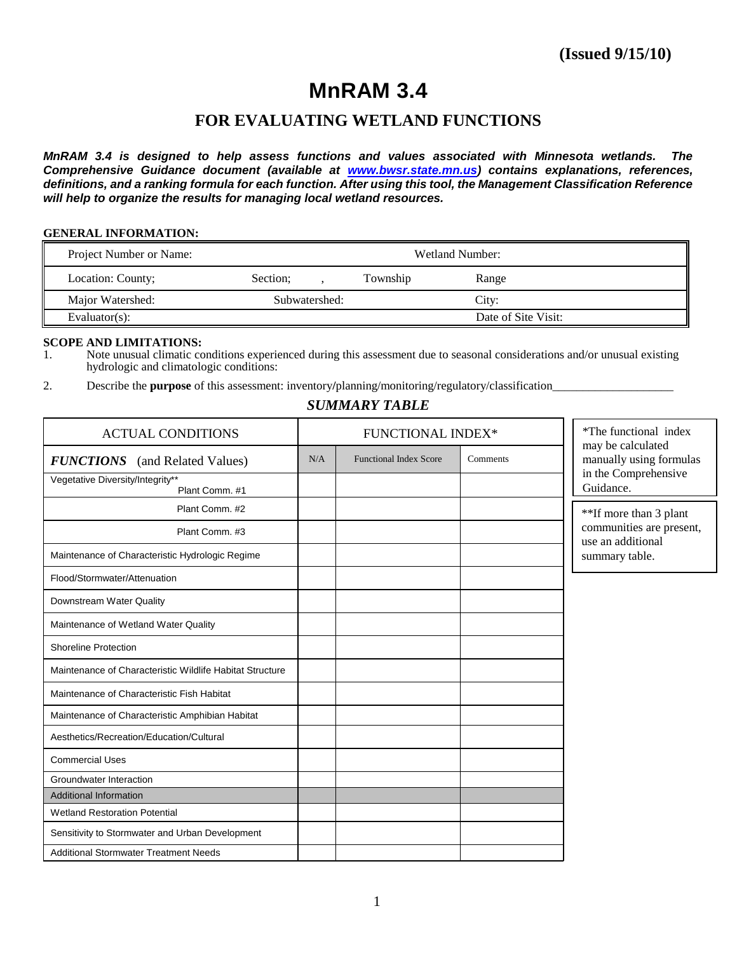# **MnRAM 3.4**

# **FOR EVALUATING WETLAND FUNCTIONS**

*MnRAM 3.4 is designed to help assess functions and values associated with Minnesota wetlands. The Comprehensive Guidance document (available at [www.bwsr.state.mn.us\)](http://www.bwsr.state.mn.us/) contains explanations, references, definitions, and a ranking formula for each function. After using this tool, the Management Classification Reference will help to organize the results for managing local wetland resources.*

#### **GENERAL INFORMATION:**

| Project Number or Name: | Wetland Number: |               |          |                     |
|-------------------------|-----------------|---------------|----------|---------------------|
| Location: County;       | Section:        |               | Township | Range               |
| Major Watershed:        |                 | Subwatershed: |          | City:               |
| Evaluator $(s)$ :       |                 |               |          | Date of Site Visit: |

#### **SCOPE AND LIMITATIONS:**

1. Note unusual climatic conditions experienced during this assessment due to seasonal considerations and/or unusual existing hydrologic and climatologic conditions:

2. Describe the **purpose** of this assessment: inventory**/**planning/monitoring/regulatory/classification\_\_\_\_\_\_\_\_\_\_\_\_\_\_\_\_\_\_\_\_

### *SUMMARY TABLE*

| <b>ACTUAL CONDITIONS</b>                                 | <b>FUNCTIONAL INDEX*</b> |                               | *The functional index<br>may be calculated |                                               |
|----------------------------------------------------------|--------------------------|-------------------------------|--------------------------------------------|-----------------------------------------------|
| <b>FUNCTIONS</b> (and Related Values)                    |                          | <b>Functional Index Score</b> | Comments                                   | manually using formulas                       |
| Vegetative Diversity/Integrity**<br>Plant Comm. #1       |                          |                               |                                            | in the Comprehensive<br>Guidance.             |
| Plant Comm. #2                                           |                          |                               |                                            | **If more than 3 plant                        |
| Plant Comm. #3                                           |                          |                               |                                            | communities are present,<br>use an additional |
| Maintenance of Characteristic Hydrologic Regime          |                          |                               |                                            | summary table.                                |
| Flood/Stormwater/Attenuation                             |                          |                               |                                            |                                               |
| Downstream Water Quality                                 |                          |                               |                                            |                                               |
| Maintenance of Wetland Water Quality                     |                          |                               |                                            |                                               |
| <b>Shoreline Protection</b>                              |                          |                               |                                            |                                               |
| Maintenance of Characteristic Wildlife Habitat Structure |                          |                               |                                            |                                               |
| Maintenance of Characteristic Fish Habitat               |                          |                               |                                            |                                               |
| Maintenance of Characteristic Amphibian Habitat          |                          |                               |                                            |                                               |
| Aesthetics/Recreation/Education/Cultural                 |                          |                               |                                            |                                               |
| <b>Commercial Uses</b>                                   |                          |                               |                                            |                                               |
| Groundwater Interaction                                  |                          |                               |                                            |                                               |
| <b>Additional Information</b>                            |                          |                               |                                            |                                               |
| <b>Wetland Restoration Potential</b>                     |                          |                               |                                            |                                               |
| Sensitivity to Stormwater and Urban Development          |                          |                               |                                            |                                               |
| <b>Additional Stormwater Treatment Needs</b>             |                          |                               |                                            |                                               |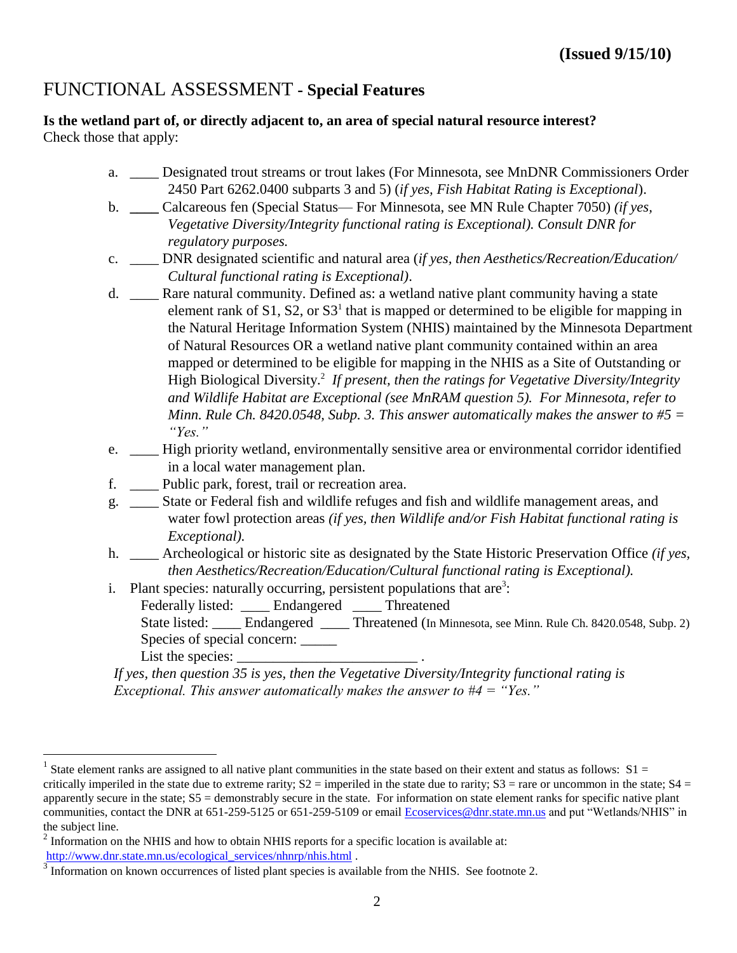# FUNCTIONAL ASSESSMENT **- Special Features**

**Is the wetland part of, or directly adjacent to, an area of special natural resource interest?**  Check those that apply:

- a. \_\_\_\_ Designated trout streams or trout lakes (For Minnesota, see MnDNR Commissioners Order 2450 Part 6262.0400 subparts 3 and 5) (*if yes, Fish Habitat Rating is Exceptional*).
- b. **\_\_\_\_** Calcareous fen (Special Status— For Minnesota, see MN Rule Chapter 7050) *(if yes, Vegetative Diversity/Integrity functional rating is Exceptional). Consult DNR for regulatory purposes.*
- c. \_\_\_\_ DNR designated scientific and natural area (*if yes, then Aesthetics/Recreation/Education/ Cultural functional rating is Exceptional)*.
- d. \_\_\_\_ Rare natural community. Defined as: a wetland native plant community having a state element rank of  $S1$ ,  $S2$ , or  $S3<sup>1</sup>$  that is mapped or determined to be eligible for mapping in the Natural Heritage Information System (NHIS) maintained by the Minnesota Department of Natural Resources OR a wetland native plant community contained within an area mapped or determined to be eligible for mapping in the NHIS as a Site of Outstanding or High Biological Diversity.<sup>2</sup> If present, then the ratings for Vegetative Diversity/Integrity *and Wildlife Habitat are Exceptional (see MnRAM question 5). For Minnesota, refer to Minn. Rule Ch. 8420.0548, Subp. 3. This answer automatically makes the answer to #5 = "Yes."*
- e. \_\_\_\_ High priority wetland, environmentally sensitive area or environmental corridor identified in a local water management plan.
- f. \_\_\_\_ Public park, forest, trail or recreation area.
- g. \_\_\_\_ State or Federal fish and wildlife refuges and fish and wildlife management areas, and water fowl protection areas *(if yes, then Wildlife and/or Fish Habitat functional rating is Exceptional).*
- h. \_\_\_\_ Archeological or historic site as designated by the State Historic Preservation Office *(if yes, then Aesthetics/Recreation/Education/Cultural functional rating is Exceptional).*
- i. Plant species: naturally occurring, persistent populations that are<sup>3</sup>:
	- Federally listed: Endangered Threatened
		- State listed: Endangered Threatened (In Minnesota, see Minn. Rule Ch. 8420.0548, Subp. 2) Species of special concern: \_\_\_\_\_\_

List the species:

 $\overline{a}$ 

*If yes, then question 35 is yes, then the Vegetative Diversity/Integrity functional rating is Exceptional. This answer automatically makes the answer to #4 = "Yes."*

<sup>&</sup>lt;sup>1</sup> State element ranks are assigned to all native plant communities in the state based on their extent and status as follows:  $S1 =$ critically imperiled in the state due to extreme rarity;  $S2 =$  imperiled in the state due to rarity;  $S3 =$  rare or uncommon in the state;  $S4 =$ apparently secure in the state; S5 = demonstrably secure in the state. For information on state element ranks for specific native plant communities, contact the DNR at 651-259-5125 or 651-259-5109 or email [Ecoservices@dnr.state.mn.us](mailto:Ecoservices@dnr.state.mn.us) and put "Wetlands/NHIS" in the subject line.

 $2 \text{ Information on the NHIS and how to obtain NHIS reports for a specific location is available at:}$ [http://www.dnr.state.mn.us/ecological\\_services/nhnrp/nhis.html](http://www.dnr.state.mn.us/ecological_services/nhnrp/nhis.html) .

 $3$  Information on known occurrences of listed plant species is available from the NHIS. See footnote 2.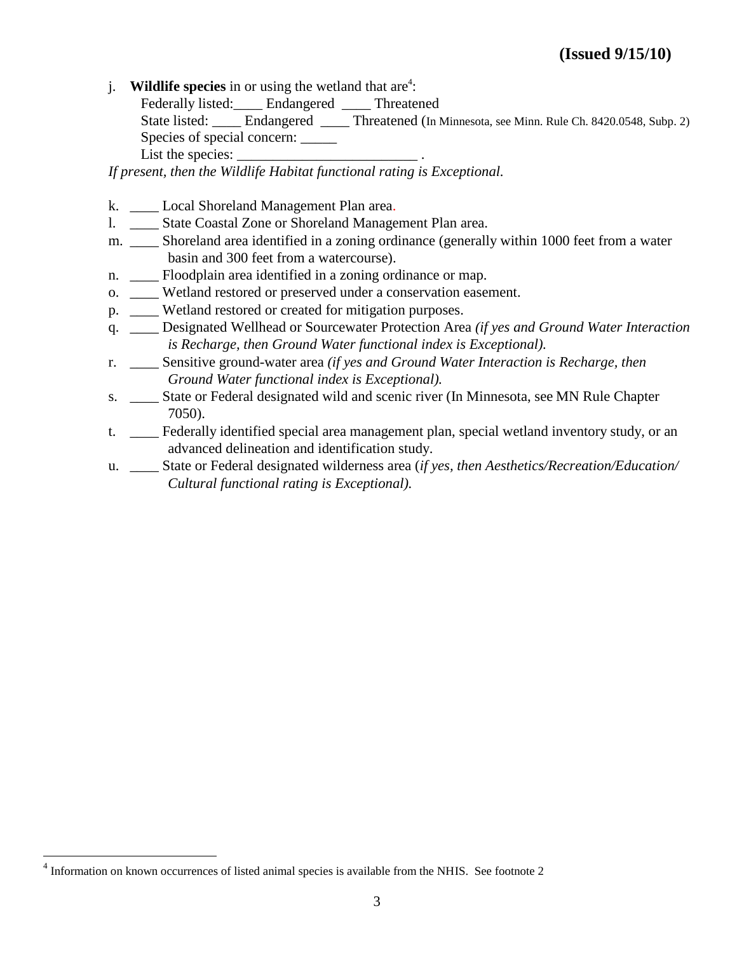j. **Wildlife species** in or using the wetland that are<sup>4</sup>:

Federally listed: Endangered Threatened

State listed: \_\_\_\_ Endangered \_\_\_\_ Threatened (In Minnesota, see Minn. Rule Ch. 8420.0548, Subp. 2) Species of special concern:  $\frac{ }{ }$ 

List the species:

*If present, then the Wildlife Habitat functional rating is Exceptional.*

- k. Local Shoreland Management Plan area.
- l. \_\_\_\_ State Coastal Zone or Shoreland Management Plan area.
- m. \_\_\_\_ Shoreland area identified in a zoning ordinance (generally within 1000 feet from a water basin and 300 feet from a watercourse).
- n. \_\_\_\_\_ Floodplain area identified in a zoning ordinance or map.
- o. \_\_\_\_ Wetland restored or preserved under a conservation easement.
- p. \_\_\_\_ Wetland restored or created for mitigation purposes.
- q. \_\_\_\_ Designated Wellhead or Sourcewater Protection Area *(if yes and Ground Water Interaction is Recharge, then Ground Water functional index is Exceptional).*
- r. \_\_\_\_ Sensitive ground-water area *(if yes and Ground Water Interaction is Recharge, then Ground Water functional index is Exceptional).*
- s. \_\_\_\_ State or Federal designated wild and scenic river (In Minnesota, see MN Rule Chapter 7050).
- t. Federally identified special area management plan, special wetland inventory study, or an advanced delineation and identification study.
- u. \_\_\_\_ State or Federal designated wilderness area (*if yes, then Aesthetics/Recreation/Education/ Cultural functional rating is Exceptional).*

<sup>&</sup>lt;sup>4</sup> Information on known occurrences of listed animal species is available from the NHIS. See footnote 2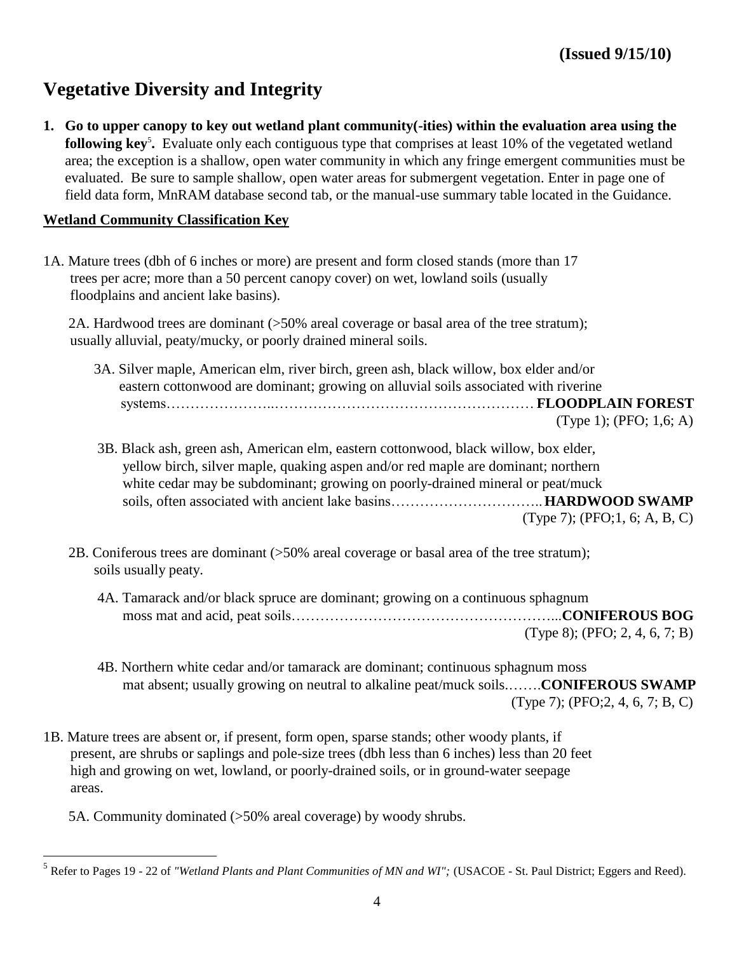# **Vegetative Diversity and Integrity**

**1. Go to upper canopy to key out wetland plant community(-ities) within the evaluation area using the following key<sup>5</sup>.** Evaluate only each contiguous type that comprises at least 10% of the vegetated wetland area; the exception is a shallow, open water community in which any fringe emergent communities must be evaluated. Be sure to sample shallow, open water areas for submergent vegetation. Enter in page one of field data form, MnRAM database second tab, or the manual-use summary table located in the Guidance.

### **Wetland Community Classification Key**

1A. Mature trees (dbh of 6 inches or more) are present and form closed stands (more than 17 trees per acre; more than a 50 percent canopy cover) on wet, lowland soils (usually floodplains and ancient lake basins).

 2A. Hardwood trees are dominant (>50% areal coverage or basal area of the tree stratum); usually alluvial, peaty/mucky, or poorly drained mineral soils.

| 3A. Silver maple, American elm, river birch, green ash, black willow, box elder and/or |
|----------------------------------------------------------------------------------------|
| eastern cotton wood are dominant; growing on alluvial soils associated with riverine   |
|                                                                                        |
| (Type 1); (PFO; 1,6; A)                                                                |

- 3B. Black ash, green ash, American elm, eastern cottonwood, black willow, box elder, yellow birch, silver maple, quaking aspen and/or red maple are dominant; northern white cedar may be subdominant; growing on poorly-drained mineral or peat/muck soils, often associated with ancient lake basins…………………………..**HARDWOOD SWAMP** (Type 7); (PFO;1, 6; A, B, C)
- 2B. Coniferous trees are dominant (>50% areal coverage or basal area of the tree stratum); soils usually peaty.
	- 4A. Tamarack and/or black spruce are dominant; growing on a continuous sphagnum moss mat and acid, peat soils………………………………………………...**CONIFEROUS BOG** (Type 8); (PFO; 2, 4, 6, 7; B)
	- 4B. Northern white cedar and/or tamarack are dominant; continuous sphagnum moss mat absent; usually growing on neutral to alkaline peat/muck soils.…….**CONIFEROUS SWAMP** (Type 7); (PFO;2, 4, 6, 7; B, C)
- 1B. Mature trees are absent or, if present, form open, sparse stands; other woody plants, if present, are shrubs or saplings and pole-size trees (dbh less than 6 inches) less than 20 feet high and growing on wet, lowland, or poorly-drained soils, or in ground-water seepage areas.

5A. Community dominated (>50% areal coverage) by woody shrubs.

<sup>&</sup>lt;sup>5</sup> Refer to Pages 19 - 22 of "Wetland Plants and Plant Communities of MN and WI"; (USACOE - St. Paul District; Eggers and Reed).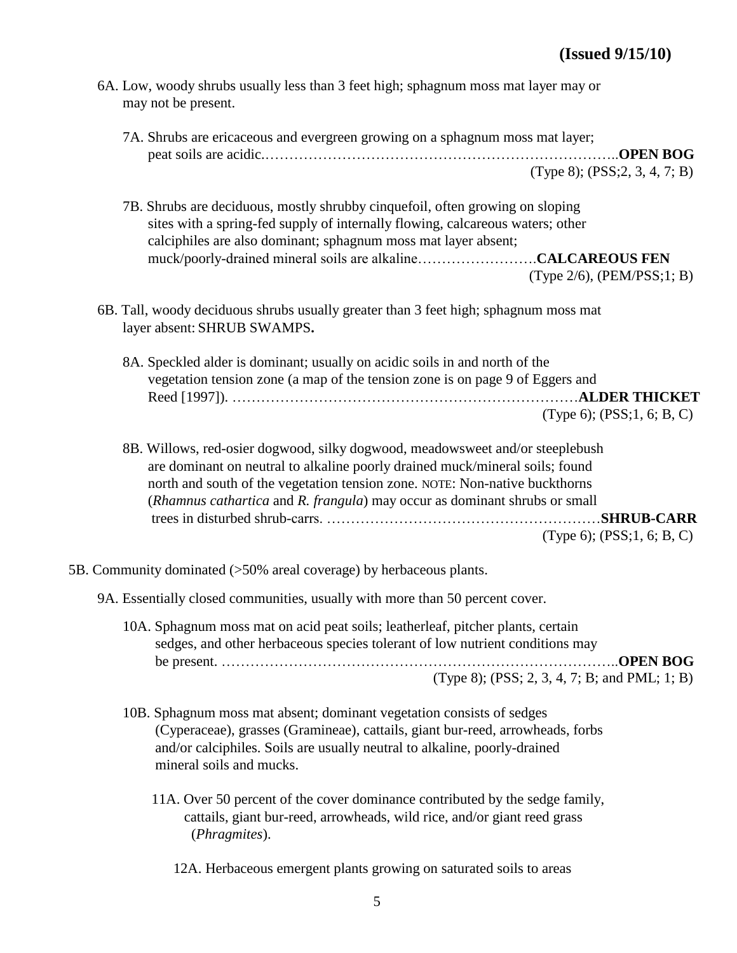| 6A. Low, woody shrubs usually less than 3 feet high; sphagnum moss mat layer may or<br>may not be present.                                                                                                                                                                                                                 |                                                        |
|----------------------------------------------------------------------------------------------------------------------------------------------------------------------------------------------------------------------------------------------------------------------------------------------------------------------------|--------------------------------------------------------|
| 7A. Shrubs are ericaceous and evergreen growing on a sphagnum moss mat layer;                                                                                                                                                                                                                                              | <b>OPEN BOG</b><br>$(Type 8)$ ; $(PSS; 2, 3, 4, 7; B)$ |
| 7B. Shrubs are deciduous, mostly shrubby cinquefoil, often growing on sloping<br>sites with a spring-fed supply of internally flowing, calcareous waters; other<br>calciphiles are also dominant; sphagnum moss mat layer absent;                                                                                          | $(Type 2/6)$ , $(PEM/PSS;1; B)$                        |
| 6B. Tall, woody deciduous shrubs usually greater than 3 feet high; sphagnum moss mat<br>layer absent: SHRUB SWAMPS.                                                                                                                                                                                                        |                                                        |
| 8A. Speckled alder is dominant; usually on acidic soils in and north of the<br>vegetation tension zone (a map of the tension zone is on page 9 of Eggers and                                                                                                                                                               | <b> ALDER THICKET</b><br>(Type 6); $(PSS; 1, 6; B, C)$ |
| 8B. Willows, red-osier dogwood, silky dogwood, meadowsweet and/or steeplebush<br>are dominant on neutral to alkaline poorly drained muck/mineral soils; found<br>north and south of the vegetation tension zone. NOTE: Non-native buckthorns<br>(Rhamnus cathartica and R. frangula) may occur as dominant shrubs or small | .SHRUB-CARR<br>(Type 6); $(PSS; 1, 6; B, C)$           |
| 5B. Community dominated (>50% areal coverage) by herbaceous plants.                                                                                                                                                                                                                                                        |                                                        |
| 9A. Essentially closed communities, usually with more than 50 percent cover.                                                                                                                                                                                                                                               |                                                        |

- 10A. Sphagnum moss mat on acid peat soils; leatherleaf, pitcher plants, certain sedges, and other herbaceous species tolerant of low nutrient conditions may be present. ………………………………………………………………………..**OPEN BOG** (Type 8); (PSS; 2, 3, 4, 7; B; and PML; 1; B)
- 10B. Sphagnum moss mat absent; dominant vegetation consists of sedges (Cyperaceae), grasses (Gramineae), cattails, giant bur-reed, arrowheads, forbs and/or calciphiles. Soils are usually neutral to alkaline, poorly-drained mineral soils and mucks.
	- 11A. Over 50 percent of the cover dominance contributed by the sedge family, cattails, giant bur-reed, arrowheads, wild rice, and/or giant reed grass (*Phragmites*).
		- 12A. Herbaceous emergent plants growing on saturated soils to areas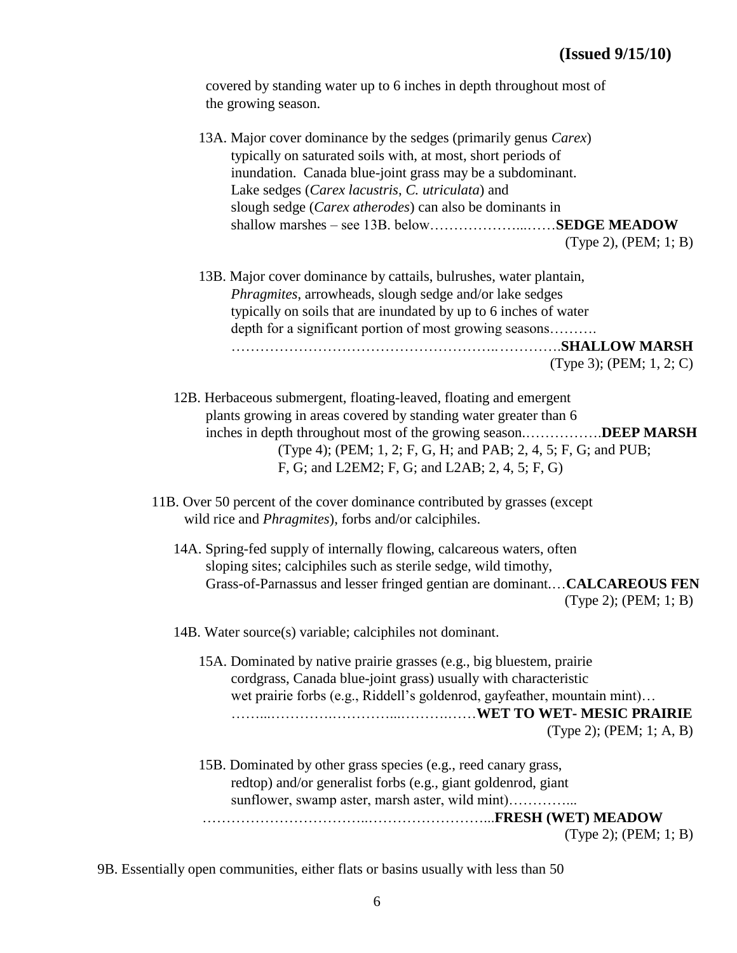covered by standing water up to 6 inches in depth throughout most of the growing season.

| 13A. Major cover dominance by the sedges (primarily genus <i>Carex</i> )<br>typically on saturated soils with, at most, short periods of<br>inundation. Canada blue-joint grass may be a subdominant.<br>Lake sedges (Carex lacustris, C. utriculata) and<br>slough sedge (Carex atherodes) can also be dominants in<br>shallow marshes - see 13B. belowSEDGE MEADOW<br>$(Type 2)$ , $(PEM; 1; B)$ |  |
|----------------------------------------------------------------------------------------------------------------------------------------------------------------------------------------------------------------------------------------------------------------------------------------------------------------------------------------------------------------------------------------------------|--|
| 13B. Major cover dominance by cattails, bulrushes, water plantain,<br><i>Phragmites</i> , arrowheads, slough sedge and/or lake sedges<br>typically on soils that are inundated by up to 6 inches of water<br>depth for a significant portion of most growing seasons<br>(Type 3); (PEM; $1, 2; C$ )                                                                                                |  |
| 12B. Herbaceous submergent, floating-leaved, floating and emergent<br>plants growing in areas covered by standing water greater than 6<br>inches in depth throughout most of the growing seasonDEEP MARSH<br>(Type 4); (PEM; 1, 2; F, G, H; and PAB; 2, 4, 5; F, G; and PUB;<br>F, G; and L2EM2; F, G; and L2AB; 2, 4, 5; F, G)                                                                    |  |
| 11B. Over 50 percent of the cover dominance contributed by grasses (except<br>wild rice and <i>Phragmites</i> ), forbs and/or calciphiles.                                                                                                                                                                                                                                                         |  |
| 14A. Spring-fed supply of internally flowing, calcareous waters, often<br>sloping sites; calciphiles such as sterile sedge, wild timothy,<br>Grass-of-Parnassus and lesser fringed gentian are dominant CALCAREOUS FEN<br>$(Type 2)$ ; (PEM; 1; B)                                                                                                                                                 |  |
| 14B. Water source(s) variable; calciphiles not dominant.                                                                                                                                                                                                                                                                                                                                           |  |
| 15A. Dominated by native prairie grasses (e.g., big bluestem, prairie<br>cordgrass, Canada blue-joint grass) usually with characteristic<br>wet prairie forbs (e.g., Riddell's goldenrod, gayfeather, mountain mint)<br>$(Type 2)$ ; (PEM; 1; A, B)                                                                                                                                                |  |
| 15B. Dominated by other grass species (e.g., reed canary grass,<br>redtop) and/or generalist forbs (e.g., giant goldenrod, giant                                                                                                                                                                                                                                                                   |  |
| (Type 2); $(PEM; 1; B)$                                                                                                                                                                                                                                                                                                                                                                            |  |

9B. Essentially open communities, either flats or basins usually with less than 50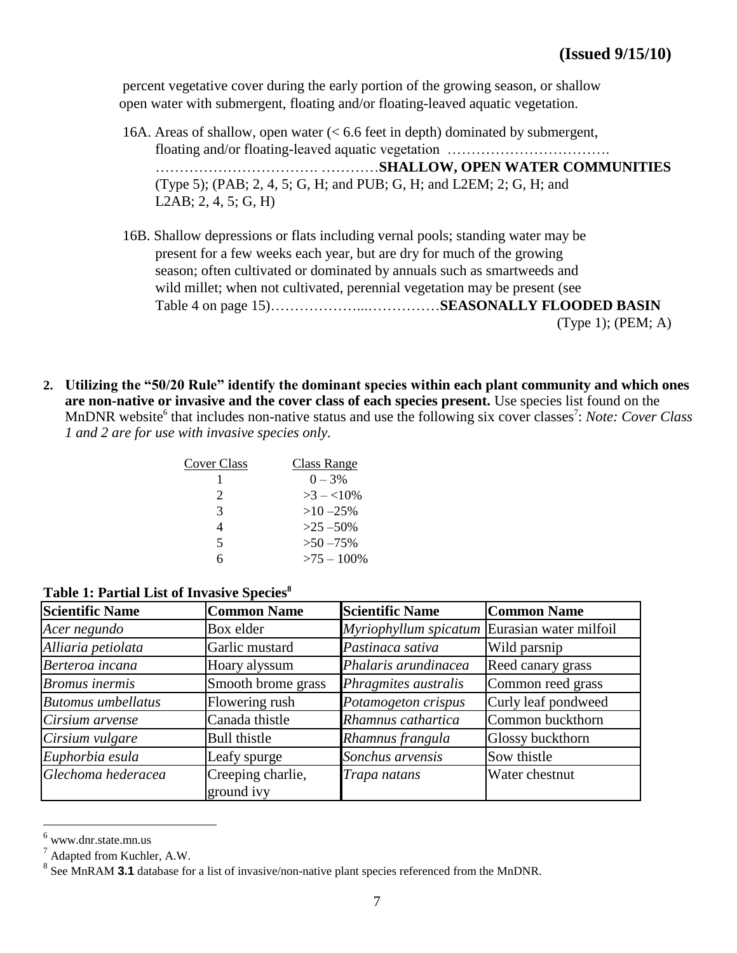percent vegetative cover during the early portion of the growing season, or shallow open water with submergent, floating and/or floating-leaved aquatic vegetation.

- 16A. Areas of shallow, open water (< 6.6 feet in depth) dominated by submergent, floating and/or floating-leaved aquatic vegetation ……………………………. ……………………………. …………**SHALLOW, OPEN WATER COMMUNITIES** (Type 5); (PAB; 2, 4, 5; G, H; and PUB; G, H; and L2EM; 2; G, H; and L2AB; 2, 4, 5; G, H)
- 16B. Shallow depressions or flats including vernal pools; standing water may be present for a few weeks each year, but are dry for much of the growing season; often cultivated or dominated by annuals such as smartweeds and wild millet; when not cultivated, perennial vegetation may be present (see Table 4 on page 15)………………...……………**SEASONALLY FLOODED BASIN** (Type 1); (PEM; A)
- **2. Utilizing the "50/20 Rule" identify the dominant species within each plant community and which ones are non-native or invasive and the cover class of each species present.** Use species list found on the MnDNR website<sup>6</sup> that includes non-native status and use the following six cover classes<sup>7</sup>: Note: Cover Class *1 and 2 are for use with invasive species only.*

| Cover Class           | Class Range   |
|-----------------------|---------------|
|                       | $0 - 3\%$     |
| $\mathcal{D}_{\cdot}$ | $>3 - 10\%$   |
| 3                     | $>10 - 25\%$  |
| 4                     | $>25 - 50\%$  |
| 5                     | $>50 - 75\%$  |
| ħ                     | $>75 - 100\%$ |

| <b>Scientific Name</b>    | <b>Common Name</b>              | <b>Scientific Name</b>                       | <b>Common Name</b>  |
|---------------------------|---------------------------------|----------------------------------------------|---------------------|
| Acer negundo              | Box elder                       | Myriophyllum spicatum Eurasian water milfoil |                     |
| Alliaria petiolata        | Garlic mustard                  | Pastinaca sativa                             | Wild parsnip        |
| Berteroa incana           | Hoary alyssum                   | Phalaris arundinacea                         | Reed canary grass   |
| <b>Bromus</b> inermis     | Smooth brome grass              | Phragmites australis                         | Common reed grass   |
| <b>Butomus</b> umbellatus | Flowering rush                  | Potamogeton crispus                          | Curly leaf pondweed |
| Cirsium arvense           | Canada thistle                  | Rhamnus cathartica                           | Common buckthorn    |
| Cirsium vulgare           | <b>Bull thistle</b>             | Rhamnus frangula                             | Glossy buckthorn    |
| Euphorbia esula           | Leafy spurge                    | Sonchus arvensis                             | Sow thistle         |
| Glechoma hederacea        | Creeping charlie,<br>ground ivy | Trapa natans                                 | Water chestnut      |

#### **Table 1: Partial List of Invasive Species<sup>8</sup>**

 $6$  www.dnr.state.mn.us

 $^7$  Adapted from Kuchler, A.W.

<sup>&</sup>lt;sup>8</sup> See MnRAM **3.1** database for a list of invasive/non-native plant species referenced from the MnDNR.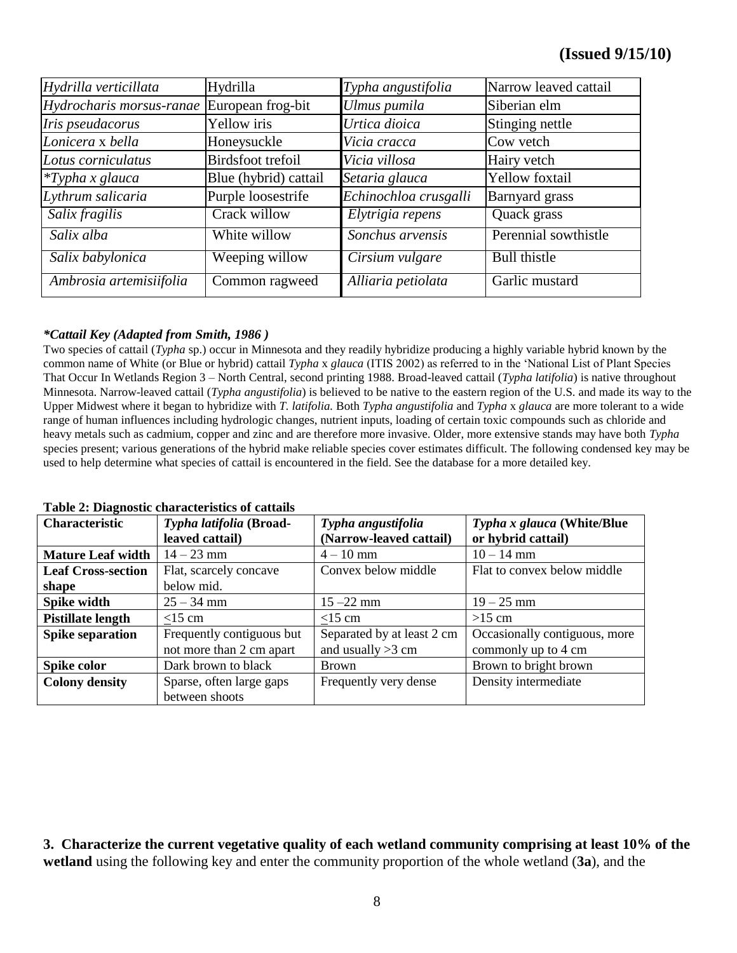| Hydrilla verticillata    | Hydrilla              | Typha angustifolia    | Narrow leaved cattail |
|--------------------------|-----------------------|-----------------------|-----------------------|
| Hydrocharis morsus-ranae | European frog-bit     | Ulmus pumila          | Siberian elm          |
| Iris pseudacorus         | Yellow iris           | Urtica dioica         | Stinging nettle       |
| Lonicera x bella         | Honeysuckle           | Vicia cracca          | Cow vetch             |
| Lotus corniculatus       | Birdsfoot trefoil     | Vicia villosa         | Hairy vetch           |
| $*T$ ypha x glauca       | Blue (hybrid) cattail | Setaria glauca        | <b>Yellow</b> foxtail |
| Lythrum salicaria        | Purple loosestrife    | Echinochloa crusgalli | Barnyard grass        |
| Salix fragilis           | Crack willow          | Elytrigia repens      | Quack grass           |
| Salix alba               | White willow          | Sonchus arvensis      | Perennial sowthistle  |
| Salix babylonica         | Weeping willow        | Cirsium vulgare       | <b>Bull</b> thistle   |
| Ambrosia artemisiifolia  | Common ragweed        | Alliaria petiolata    | Garlic mustard        |

#### *\*Cattail Key (Adapted from Smith, 1986 )*

Two species of cattail (*Typha* sp.) occur in Minnesota and they readily hybridize producing a highly variable hybrid known by the common name of White (or Blue or hybrid) cattail *Typha x glauca* (ITIS 2002) as referred to in the 'National List of Plant Species That Occur In Wetlands Region 3 – North Central, second printing 1988. Broad-leaved cattail (*Typha latifolia*) is native throughout Minnesota. Narrow-leaved cattail (*Typha angustifolia*) is believed to be native to the eastern region of the U.S. and made its way to the Upper Midwest where it began to hybridize with *T. latifolia.* Both *Typha angustifolia* and *Typha* x *glauca* are more tolerant to a wide range of human influences including hydrologic changes, nutrient inputs, loading of certain toxic compounds such as chloride and heavy metals such as cadmium, copper and zinc and are therefore more invasive. Older, more extensive stands may have both *Typha* species present; various generations of the hybrid make reliable species cover estimates difficult. The following condensed key may be used to help determine what species of cattail is encountered in the field. See the database for a more detailed key.

#### **Table 2: Diagnostic characteristics of cattails**

|                           | Tuble <b>2</b> : Diagnostic characteristics of cattans |                            |                               |  |  |  |
|---------------------------|--------------------------------------------------------|----------------------------|-------------------------------|--|--|--|
| <b>Characteristic</b>     | Typha latifolia (Broad-                                | Typha angustifolia         | Typha x glauca (White/Blue    |  |  |  |
|                           | leaved cattail)                                        | (Narrow-leaved cattail)    | or hybrid cattail)            |  |  |  |
| <b>Mature Leaf width</b>  | $14 - 23$ mm                                           | $4 - 10$ mm                | $10 - 14$ mm                  |  |  |  |
| <b>Leaf Cross-section</b> | Flat, scarcely concave                                 | Convex below middle        | Flat to convex below middle   |  |  |  |
| shape                     | below mid.                                             |                            |                               |  |  |  |
| Spike width               | $25 - 34$ mm                                           | $15 - 22$ mm               | $19 - 25$ mm                  |  |  |  |
| <b>Pistillate length</b>  | $<$ 15 cm                                              | $<$ 15 cm                  | $>15$ cm                      |  |  |  |
| <b>Spike separation</b>   | Frequently contiguous but                              | Separated by at least 2 cm | Occasionally contiguous, more |  |  |  |
|                           | not more than 2 cm apart                               | and usually $>3$ cm        | commonly up to 4 cm           |  |  |  |
| Spike color               | Dark brown to black                                    | <b>Brown</b>               | Brown to bright brown         |  |  |  |
| <b>Colony density</b>     | Sparse, often large gaps                               | Frequently very dense      | Density intermediate          |  |  |  |
|                           | between shoots                                         |                            |                               |  |  |  |

**3. Characterize the current vegetative quality of each wetland community comprising at least 10% of the wetland** using the following key and enter the community proportion of the whole wetland (**3a**), and the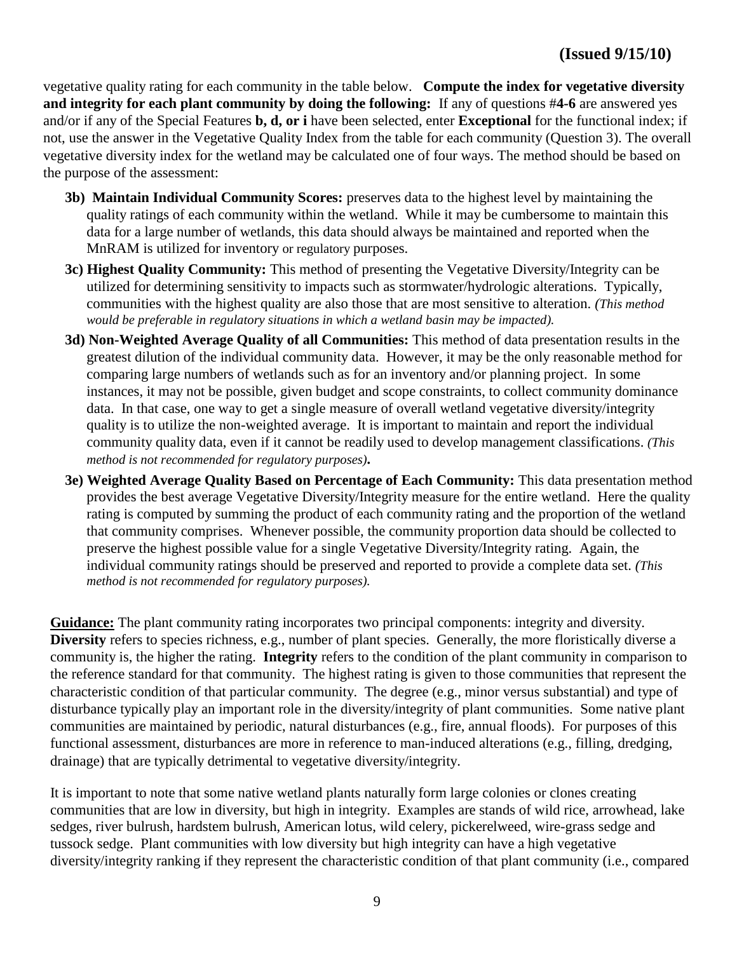vegetative quality rating for each community in the table below. **Compute the index for vegetative diversity and integrity for each plant community by doing the following:** If any of questions #**4-6** are answered yes and/or if any of the Special Features **b, d, or i** have been selected, enter **Exceptional** for the functional index; if not, use the answer in the Vegetative Quality Index from the table for each community (Question 3). The overall vegetative diversity index for the wetland may be calculated one of four ways. The method should be based on the purpose of the assessment:

- **3b) Maintain Individual Community Scores:** preserves data to the highest level by maintaining the quality ratings of each community within the wetland. While it may be cumbersome to maintain this data for a large number of wetlands, this data should always be maintained and reported when the MnRAM is utilized for inventory or regulatory purposes.
- **3c) Highest Quality Community:** This method of presenting the Vegetative Diversity/Integrity can be utilized for determining sensitivity to impacts such as stormwater/hydrologic alterations. Typically, communities with the highest quality are also those that are most sensitive to alteration. *(This method would be preferable in regulatory situations in which a wetland basin may be impacted).*
- **3d) Non-Weighted Average Quality of all Communities:** This method of data presentation results in the greatest dilution of the individual community data. However, it may be the only reasonable method for comparing large numbers of wetlands such as for an inventory and/or planning project. In some instances, it may not be possible, given budget and scope constraints, to collect community dominance data. In that case, one way to get a single measure of overall wetland vegetative diversity/integrity quality is to utilize the non-weighted average. It is important to maintain and report the individual community quality data, even if it cannot be readily used to develop management classifications. *(This method is not recommended for regulatory purposes).*
- **3e) Weighted Average Quality Based on Percentage of Each Community:** This data presentation method provides the best average Vegetative Diversity/Integrity measure for the entire wetland. Here the quality rating is computed by summing the product of each community rating and the proportion of the wetland that community comprises. Whenever possible, the community proportion data should be collected to preserve the highest possible value for a single Vegetative Diversity/Integrity rating. Again, the individual community ratings should be preserved and reported to provide a complete data set. *(This method is not recommended for regulatory purposes).*

**Guidance:** The plant community rating incorporates two principal components: integrity and diversity. **Diversity** refers to species richness, e.g., number of plant species. Generally, the more floristically diverse a community is, the higher the rating. **Integrity** refers to the condition of the plant community in comparison to the reference standard for that community. The highest rating is given to those communities that represent the characteristic condition of that particular community. The degree (e.g., minor versus substantial) and type of disturbance typically play an important role in the diversity/integrity of plant communities. Some native plant communities are maintained by periodic, natural disturbances (e.g., fire, annual floods). For purposes of this functional assessment, disturbances are more in reference to man-induced alterations (e.g., filling, dredging, drainage) that are typically detrimental to vegetative diversity/integrity.

It is important to note that some native wetland plants naturally form large colonies or clones creating communities that are low in diversity, but high in integrity. Examples are stands of wild rice, arrowhead, lake sedges, river bulrush, hardstem bulrush, American lotus, wild celery, pickerelweed, wire-grass sedge and tussock sedge. Plant communities with low diversity but high integrity can have a high vegetative diversity/integrity ranking if they represent the characteristic condition of that plant community (i.e., compared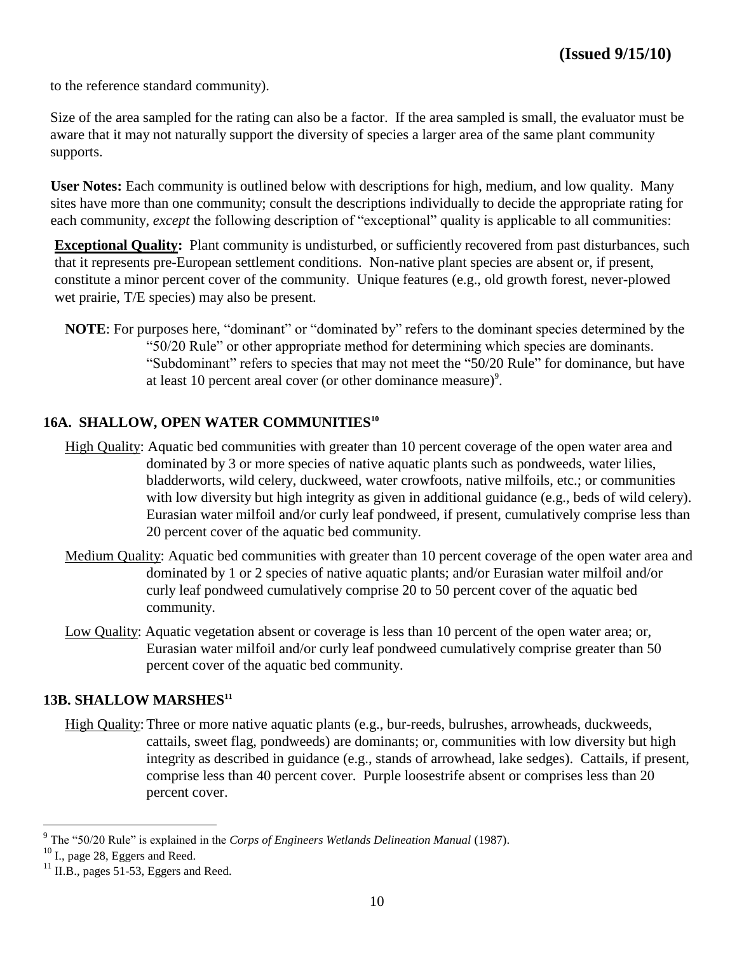to the reference standard community).

Size of the area sampled for the rating can also be a factor. If the area sampled is small, the evaluator must be aware that it may not naturally support the diversity of species a larger area of the same plant community supports.

**User Notes:** Each community is outlined below with descriptions for high, medium, and low quality. Many sites have more than one community; consult the descriptions individually to decide the appropriate rating for each community, *except* the following description of "exceptional" quality is applicable to all communities:

**Exceptional Quality:** Plant community is undisturbed, or sufficiently recovered from past disturbances, such that it represents pre-European settlement conditions. Non-native plant species are absent or, if present, constitute a minor percent cover of the community. Unique features (e.g., old growth forest, never-plowed wet prairie, T/E species) may also be present.

**NOTE:** For purposes here, "dominant" or "dominated by" refers to the dominant species determined by the "50/20 Rule" or other appropriate method for determining which species are dominants. "Subdominant" refers to species that may not meet the "50/20 Rule" for dominance, but have at least 10 percent areal cover (or other dominance measure)<sup>9</sup>.

#### **16A. SHALLOW, OPEN WATER COMMUNITIES<sup>10</sup>**

- High Quality: Aquatic bed communities with greater than 10 percent coverage of the open water area and dominated by 3 or more species of native aquatic plants such as pondweeds, water lilies, bladderworts, wild celery, duckweed, water crowfoots, native milfoils, etc.; or communities with low diversity but high integrity as given in additional guidance (e.g., beds of wild celery). Eurasian water milfoil and/or curly leaf pondweed, if present, cumulatively comprise less than 20 percent cover of the aquatic bed community.
- Medium Quality: Aquatic bed communities with greater than 10 percent coverage of the open water area and dominated by 1 or 2 species of native aquatic plants; and/or Eurasian water milfoil and/or curly leaf pondweed cumulatively comprise 20 to 50 percent cover of the aquatic bed community.
- Low Quality: Aquatic vegetation absent or coverage is less than 10 percent of the open water area; or, Eurasian water milfoil and/or curly leaf pondweed cumulatively comprise greater than 50 percent cover of the aquatic bed community.

#### **13B. SHALLOW MARSHES<sup>11</sup>**

High Quality:Three or more native aquatic plants (e.g., bur-reeds, bulrushes, arrowheads, duckweeds, cattails, sweet flag, pondweeds) are dominants; or, communities with low diversity but high integrity as described in guidance (e.g., stands of arrowhead, lake sedges). Cattails, if present, comprise less than 40 percent cover. Purple loosestrife absent or comprises less than 20 percent cover.

 $9^9$  The "50/20 Rule" is explained in the *Corps of Engineers Wetlands Delineation Manual* (1987).

<sup>10</sup> I., page 28, Eggers and Reed.

 $11$  II.B., pages 51-53, Eggers and Reed.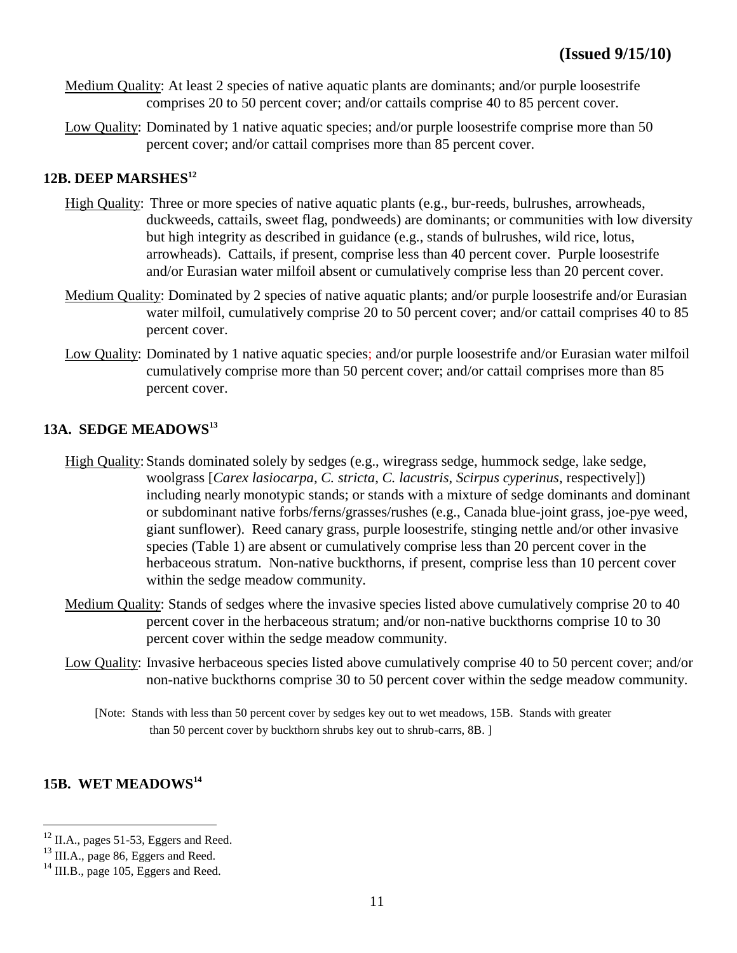- Medium Quality: At least 2 species of native aquatic plants are dominants; and/or purple loosestrife comprises 20 to 50 percent cover; and/or cattails comprise 40 to 85 percent cover.
- Low Quality: Dominated by 1 native aquatic species; and/or purple loosestrife comprise more than 50 percent cover; and/or cattail comprises more than 85 percent cover.

### **12B. DEEP MARSHES<sup>12</sup>**

- High Quality: Three or more species of native aquatic plants (e.g., bur-reeds, bulrushes, arrowheads, duckweeds, cattails, sweet flag, pondweeds) are dominants; or communities with low diversity but high integrity as described in guidance (e.g., stands of bulrushes, wild rice, lotus, arrowheads). Cattails, if present, comprise less than 40 percent cover. Purple loosestrife and/or Eurasian water milfoil absent or cumulatively comprise less than 20 percent cover.
- Medium Quality: Dominated by 2 species of native aquatic plants; and/or purple loosestrife and/or Eurasian water milfoil, cumulatively comprise 20 to 50 percent cover; and/or cattail comprises 40 to 85 percent cover.
- Low Quality: Dominated by 1 native aquatic species; and/or purple loosestrife and/or Eurasian water milfoil cumulatively comprise more than 50 percent cover; and/or cattail comprises more than 85 percent cover.

#### **13A. SEDGE MEADOWS<sup>13</sup>**

- High Quality: Stands dominated solely by sedges (e.g., wiregrass sedge, hummock sedge, lake sedge, woolgrass [*Carex lasiocarpa, C. stricta*, *C. lacustris*, *Scirpus cyperinus*, respectively]) including nearly monotypic stands; or stands with a mixture of sedge dominants and dominant or subdominant native forbs/ferns/grasses/rushes (e.g., Canada blue-joint grass, joe-pye weed, giant sunflower). Reed canary grass, purple loosestrife, stinging nettle and/or other invasive species (Table 1) are absent or cumulatively comprise less than 20 percent cover in the herbaceous stratum. Non-native buckthorns, if present, comprise less than 10 percent cover within the sedge meadow community.
- Medium Quality: Stands of sedges where the invasive species listed above cumulatively comprise 20 to 40 percent cover in the herbaceous stratum; and/or non-native buckthorns comprise 10 to 30 percent cover within the sedge meadow community.
- Low Quality: Invasive herbaceous species listed above cumulatively comprise 40 to 50 percent cover; and/or non-native buckthorns comprise 30 to 50 percent cover within the sedge meadow community.
	- [Note: Stands with less than 50 percent cover by sedges key out to wet meadows, 15B. Stands with greater than 50 percent cover by buckthorn shrubs key out to shrub-carrs, 8B. ]

# **15B. WET MEADOWS<sup>14</sup>**

<sup>&</sup>lt;sup>12</sup> II.A., pages 51-53, Eggers and Reed.

<sup>&</sup>lt;sup>13</sup> III.A., page 86, Eggers and Reed.

<sup>&</sup>lt;sup>14</sup> III.B., page 105, Eggers and Reed.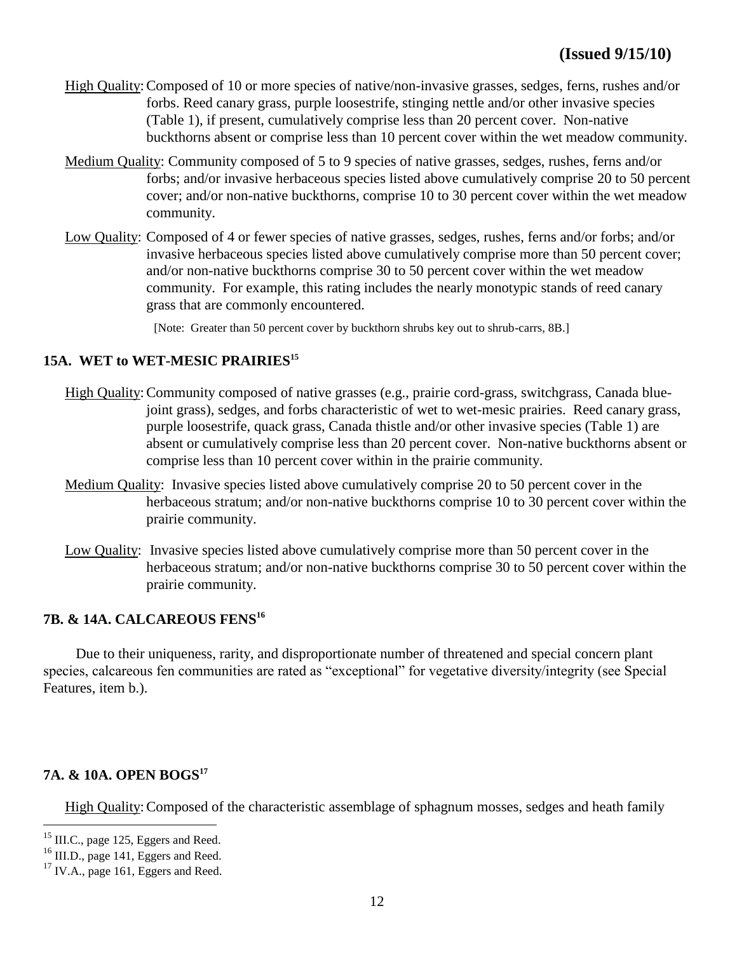- High Quality:Composed of 10 or more species of native/non-invasive grasses, sedges, ferns, rushes and/or forbs. Reed canary grass, purple loosestrife, stinging nettle and/or other invasive species (Table 1), if present, cumulatively comprise less than 20 percent cover. Non-native buckthorns absent or comprise less than 10 percent cover within the wet meadow community.
- Medium Quality: Community composed of 5 to 9 species of native grasses, sedges, rushes, ferns and/or forbs; and/or invasive herbaceous species listed above cumulatively comprise 20 to 50 percent cover; and/or non-native buckthorns, comprise 10 to 30 percent cover within the wet meadow community.
- Low Quality: Composed of 4 or fewer species of native grasses, sedges, rushes, ferns and/or forbs; and/or invasive herbaceous species listed above cumulatively comprise more than 50 percent cover; and/or non-native buckthorns comprise 30 to 50 percent cover within the wet meadow community. For example, this rating includes the nearly monotypic stands of reed canary grass that are commonly encountered.

[Note: Greater than 50 percent cover by buckthorn shrubs key out to shrub-carrs, 8B.]

#### **15A. WET to WET-MESIC PRAIRIES<sup>15</sup>**

- High Quality:Community composed of native grasses (e.g., prairie cord-grass, switchgrass, Canada bluejoint grass), sedges, and forbs characteristic of wet to wet-mesic prairies. Reed canary grass, purple loosestrife, quack grass, Canada thistle and/or other invasive species (Table 1) are absent or cumulatively comprise less than 20 percent cover. Non-native buckthorns absent or comprise less than 10 percent cover within in the prairie community.
- Medium Quality: Invasive species listed above cumulatively comprise 20 to 50 percent cover in the herbaceous stratum; and/or non-native buckthorns comprise 10 to 30 percent cover within the prairie community.
- Low Quality: Invasive species listed above cumulatively comprise more than 50 percent cover in the herbaceous stratum; and/or non-native buckthorns comprise 30 to 50 percent cover within the prairie community.

#### **7B. & 14A. CALCAREOUS FENS<sup>16</sup>**

 Due to their uniqueness, rarity, and disproportionate number of threatened and special concern plant species, calcareous fen communities are rated as "exceptional" for vegetative diversity/integrity (see Special Features, item b.).

#### **7A. & 10A. OPEN BOGS<sup>17</sup>**

High Quality: Composed of the characteristic assemblage of sphagnum mosses, sedges and heath family

<sup>&</sup>lt;sup>15</sup> III.C., page 125, Eggers and Reed.

 $^{16}$  III.D., page 141, Eggers and Reed.

 $17$  IV.A., page 161, Eggers and Reed.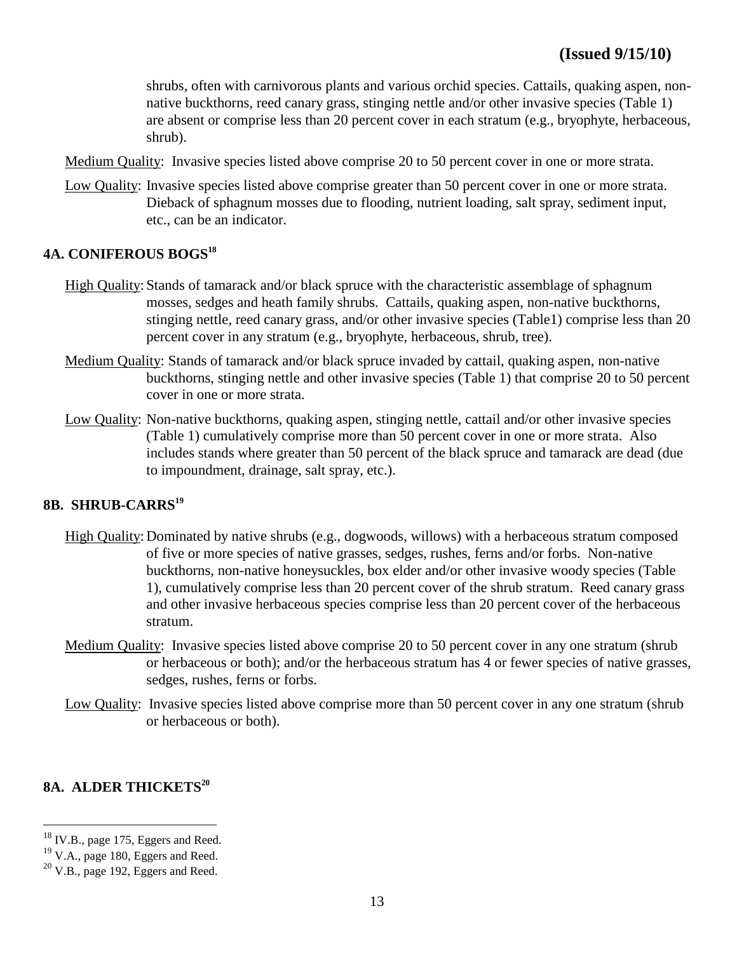shrubs, often with carnivorous plants and various orchid species. Cattails, quaking aspen, nonnative buckthorns, reed canary grass, stinging nettle and/or other invasive species (Table 1) are absent or comprise less than 20 percent cover in each stratum (e.g., bryophyte, herbaceous, shrub).

- Medium Quality: Invasive species listed above comprise 20 to 50 percent cover in one or more strata.
- Low Quality: Invasive species listed above comprise greater than 50 percent cover in one or more strata. Dieback of sphagnum mosses due to flooding, nutrient loading, salt spray, sediment input, etc., can be an indicator.

#### **4A. CONIFEROUS BOGS<sup>18</sup>**

- High Quality: Stands of tamarack and/or black spruce with the characteristic assemblage of sphagnum mosses, sedges and heath family shrubs. Cattails, quaking aspen, non-native buckthorns, stinging nettle, reed canary grass, and/or other invasive species (Table1) comprise less than 20 percent cover in any stratum (e.g., bryophyte, herbaceous, shrub, tree).
- Medium Quality: Stands of tamarack and/or black spruce invaded by cattail, quaking aspen, non-native buckthorns, stinging nettle and other invasive species (Table 1) that comprise 20 to 50 percent cover in one or more strata.
- Low Quality: Non-native buckthorns, quaking aspen, stinging nettle, cattail and/or other invasive species (Table 1) cumulatively comprise more than 50 percent cover in one or more strata. Also includes stands where greater than 50 percent of the black spruce and tamarack are dead (due to impoundment, drainage, salt spray, etc.).

#### **8B. SHRUB-CARRS<sup>19</sup>**

- High Quality: Dominated by native shrubs (e.g., dogwoods, willows) with a herbaceous stratum composed of five or more species of native grasses, sedges, rushes, ferns and/or forbs. Non-native buckthorns, non-native honeysuckles, box elder and/or other invasive woody species (Table 1), cumulatively comprise less than 20 percent cover of the shrub stratum. Reed canary grass and other invasive herbaceous species comprise less than 20 percent cover of the herbaceous stratum.
- Medium Quality: Invasive species listed above comprise 20 to 50 percent cover in any one stratum (shrub or herbaceous or both); and/or the herbaceous stratum has 4 or fewer species of native grasses, sedges, rushes, ferns or forbs.
- Low Quality: Invasive species listed above comprise more than 50 percent cover in any one stratum (shrub or herbaceous or both).

#### **8A. ALDER THICKETS<sup>20</sup>**

<sup>&</sup>lt;sup>18</sup> IV.B., page 175, Eggers and Reed.

<sup>&</sup>lt;sup>19</sup> V.A., page 180, Eggers and Reed.

 $20$  V.B., page 192, Eggers and Reed.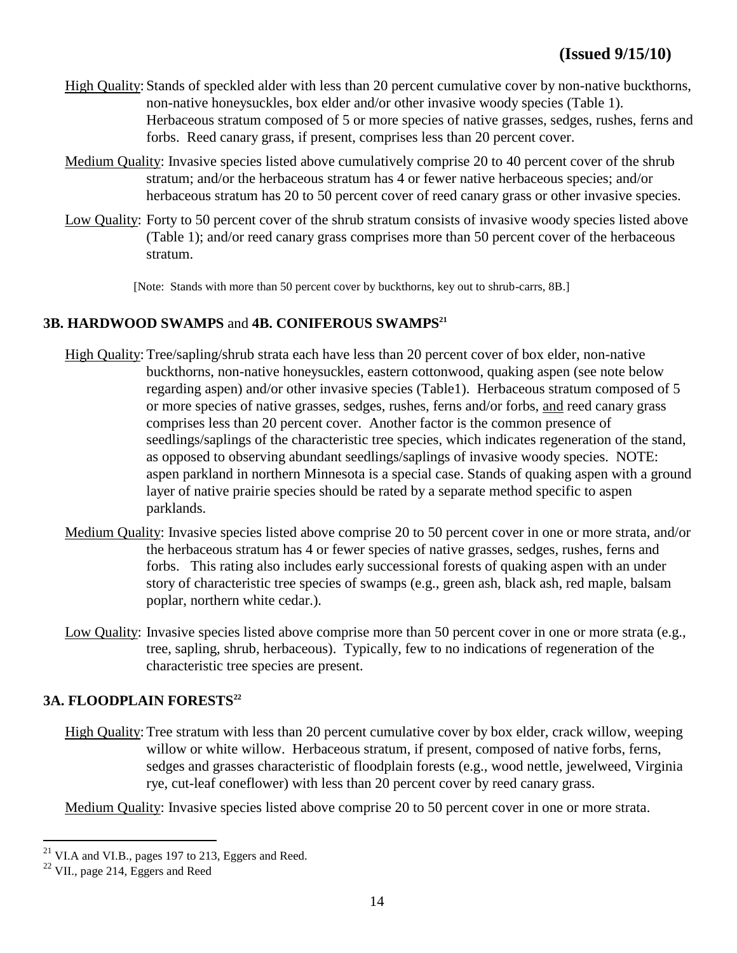- High Quality: Stands of speckled alder with less than 20 percent cumulative cover by non-native buckthorns, non-native honeysuckles, box elder and/or other invasive woody species (Table 1). Herbaceous stratum composed of 5 or more species of native grasses, sedges, rushes, ferns and forbs. Reed canary grass, if present, comprises less than 20 percent cover.
- Medium Quality: Invasive species listed above cumulatively comprise 20 to 40 percent cover of the shrub stratum; and/or the herbaceous stratum has 4 or fewer native herbaceous species; and/or herbaceous stratum has 20 to 50 percent cover of reed canary grass or other invasive species.
- Low Quality: Forty to 50 percent cover of the shrub stratum consists of invasive woody species listed above (Table 1); and/or reed canary grass comprises more than 50 percent cover of the herbaceous stratum.

[Note: Stands with more than 50 percent cover by buckthorns, key out to shrub-carrs, 8B.]

# **3B. HARDWOOD SWAMPS** and **4B. CONIFEROUS SWAMPS<sup>21</sup>**

- High Quality:Tree/sapling/shrub strata each have less than 20 percent cover of box elder, non-native buckthorns, non-native honeysuckles, eastern cottonwood, quaking aspen (see note below regarding aspen) and/or other invasive species (Table1). Herbaceous stratum composed of 5 or more species of native grasses, sedges, rushes, ferns and/or forbs, and reed canary grass comprises less than 20 percent cover. Another factor is the common presence of seedlings/saplings of the characteristic tree species, which indicates regeneration of the stand, as opposed to observing abundant seedlings/saplings of invasive woody species. NOTE: aspen parkland in northern Minnesota is a special case. Stands of quaking aspen with a ground layer of native prairie species should be rated by a separate method specific to aspen parklands.
- Medium Quality: Invasive species listed above comprise 20 to 50 percent cover in one or more strata, and/or the herbaceous stratum has 4 or fewer species of native grasses, sedges, rushes, ferns and forbs. This rating also includes early successional forests of quaking aspen with an under story of characteristic tree species of swamps (e.g., green ash, black ash, red maple, balsam poplar, northern white cedar.).
- Low Quality: Invasive species listed above comprise more than 50 percent cover in one or more strata (e.g., tree, sapling, shrub, herbaceous). Typically, few to no indications of regeneration of the characteristic tree species are present.

#### **3A. FLOODPLAIN FORESTS<sup>22</sup>**

High Quality:Tree stratum with less than 20 percent cumulative cover by box elder, crack willow, weeping willow or white willow. Herbaceous stratum, if present, composed of native forbs, ferns, sedges and grasses characteristic of floodplain forests (e.g., wood nettle, jewelweed, Virginia rye, cut-leaf coneflower) with less than 20 percent cover by reed canary grass.

Medium Quality: Invasive species listed above comprise 20 to 50 percent cover in one or more strata.

 $^{21}$  VI.A and VI.B., pages 197 to 213, Eggers and Reed.

<sup>22</sup> VII., page 214, Eggers and Reed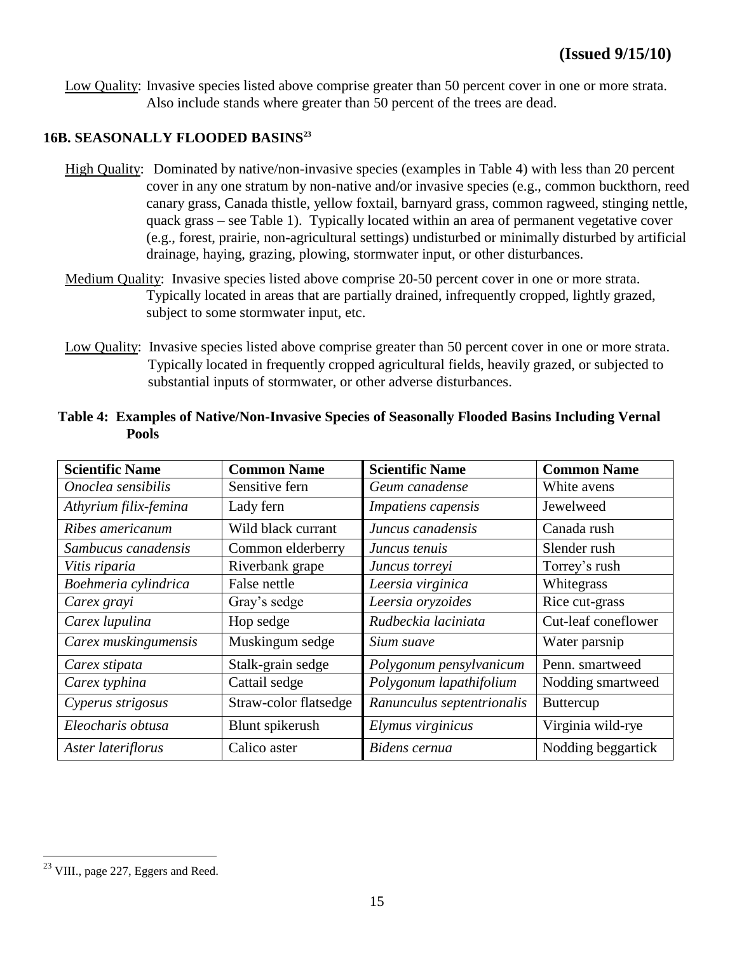Low Quality: Invasive species listed above comprise greater than 50 percent cover in one or more strata. Also include stands where greater than 50 percent of the trees are dead.

# **16B. SEASONALLY FLOODED BASINS<sup>23</sup>**

- High Quality: Dominated by native/non-invasive species (examples in Table 4) with less than 20 percent cover in any one stratum by non-native and/or invasive species (e.g., common buckthorn, reed canary grass, Canada thistle, yellow foxtail, barnyard grass, common ragweed, stinging nettle, quack grass – see Table 1). Typically located within an area of permanent vegetative cover (e.g., forest, prairie, non-agricultural settings) undisturbed or minimally disturbed by artificial drainage, haying, grazing, plowing, stormwater input, or other disturbances.
- Medium Quality: Invasive species listed above comprise 20-50 percent cover in one or more strata. Typically located in areas that are partially drained, infrequently cropped, lightly grazed, subject to some stormwater input, etc.
- Low Quality: Invasive species listed above comprise greater than 50 percent cover in one or more strata. Typically located in frequently cropped agricultural fields, heavily grazed, or subjected to substantial inputs of stormwater, or other adverse disturbances.

| <b>Scientific Name</b> | <b>Common Name</b>    | <b>Scientific Name</b>     | <b>Common Name</b>  |
|------------------------|-----------------------|----------------------------|---------------------|
| Onoclea sensibilis     | Sensitive fern        | Geum canadense             | White avens         |
| Athyrium filix-femina  | Lady fern             | Impatiens capensis         | Jewelweed           |
| Ribes americanum       | Wild black currant    | Juncus canadensis          | Canada rush         |
| Sambucus canadensis    | Common elderberry     | Juncus tenuis              | Slender rush        |
| Vitis riparia          | Riverbank grape       | Juncus torreyi             | Torrey's rush       |
| Boehmeria cylindrica   | False nettle          | Leersia virginica          | Whitegrass          |
| Carex grayi            | Gray's sedge          | Leersia oryzoides          | Rice cut-grass      |
| Carex lupulina         | Hop sedge             | Rudbeckia laciniata        | Cut-leaf coneflower |
| Carex muskingumensis   | Muskingum sedge       | Sium suave                 | Water parsnip       |
| Carex stipata          | Stalk-grain sedge     | Polygonum pensylvanicum    | Penn. smartweed     |
| Carex typhina          | Cattail sedge         | Polygonum lapathifolium    | Nodding smartweed   |
| Cyperus strigosus      | Straw-color flatsedge | Ranunculus septentrionalis | <b>Buttercup</b>    |
| Eleocharis obtusa      | Blunt spikerush       | Elymus virginicus          | Virginia wild-rye   |
| Aster lateriflorus     | Calico aster          | Bidens cernua              | Nodding beggartick  |

#### **Table 4: Examples of Native/Non-Invasive Species of Seasonally Flooded Basins Including Vernal Pools**

 $^{23}$  VIII., page 227, Eggers and Reed.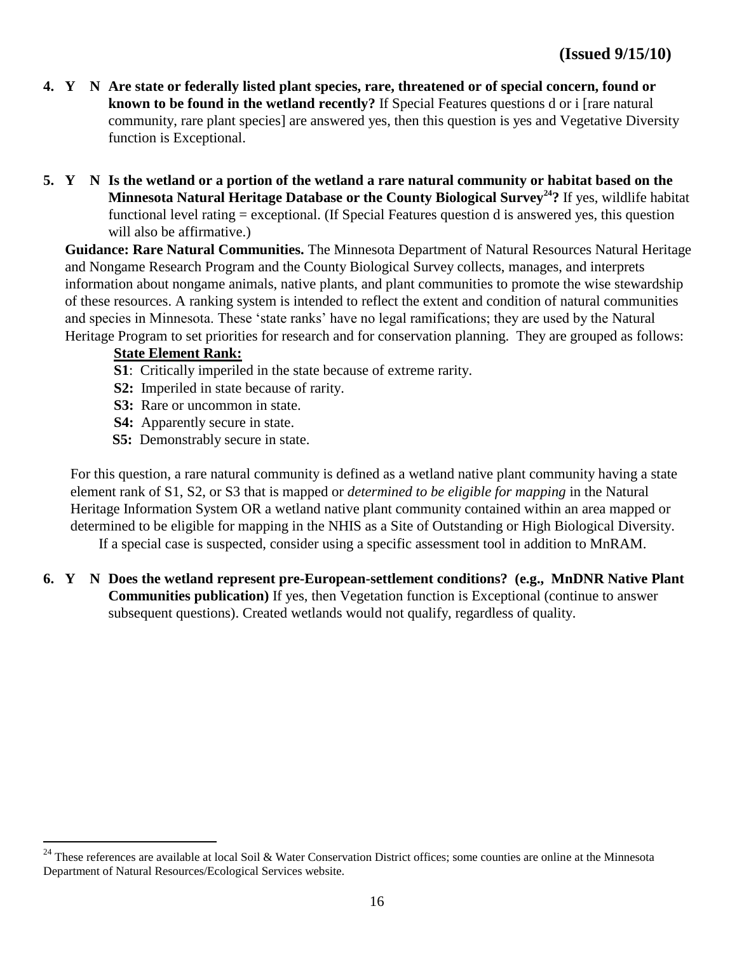- **4. Y N Are state or federally listed plant species, rare, threatened or of special concern, found or known to be found in the wetland recently?** If Special Features questions d or i [rare natural community, rare plant species] are answered yes, then this question is yes and Vegetative Diversity function is Exceptional.
- **5. Y N Is the wetland or a portion of the wetland a rare natural community or habitat based on the Minnesota Natural Heritage Database or the County Biological Survey<sup>24</sup>?** If yes, wildlife habitat functional level rating = exceptional. (If Special Features question d is answered yes, this question will also be affirmative.)

**Guidance: Rare Natural Communities.** The Minnesota Department of Natural Resources Natural Heritage and Nongame Research Program and the County Biological Survey collects, manages, and interprets information about nongame animals, native plants, and plant communities to promote the wise stewardship of these resources. A ranking system is intended to reflect the extent and condition of natural communities and species in Minnesota. These 'state ranks' have no legal ramifications; they are used by the Natural Heritage Program to set priorities for research and for conservation planning. They are grouped as follows:

# **State Element Rank:**

 $\overline{a}$ 

- **S1**: Critically imperiled in the state because of extreme rarity.
- **S2:** Imperiled in state because of rarity.
- **S3:** Rare or uncommon in state.
- **S4:** Apparently secure in state.
- **S5:** Demonstrably secure in state.

For this question, a rare natural community is defined as a wetland native plant community having a state element rank of S1, S2, or S3 that is mapped or *determined to be eligible for mapping* in the Natural Heritage Information System OR a wetland native plant community contained within an area mapped or determined to be eligible for mapping in the NHIS as a Site of Outstanding or High Biological Diversity.

If a special case is suspected, consider using a specific assessment tool in addition to MnRAM.

**6. Y N Does the wetland represent pre-European-settlement conditions? (e.g., MnDNR Native Plant Communities publication)** If yes, then Vegetation function is Exceptional (continue to answer subsequent questions). Created wetlands would not qualify, regardless of quality.

 $^{24}$  These references are available at local Soil & Water Conservation District offices; some counties are online at the Minnesota Department of Natural Resources/Ecological Services website.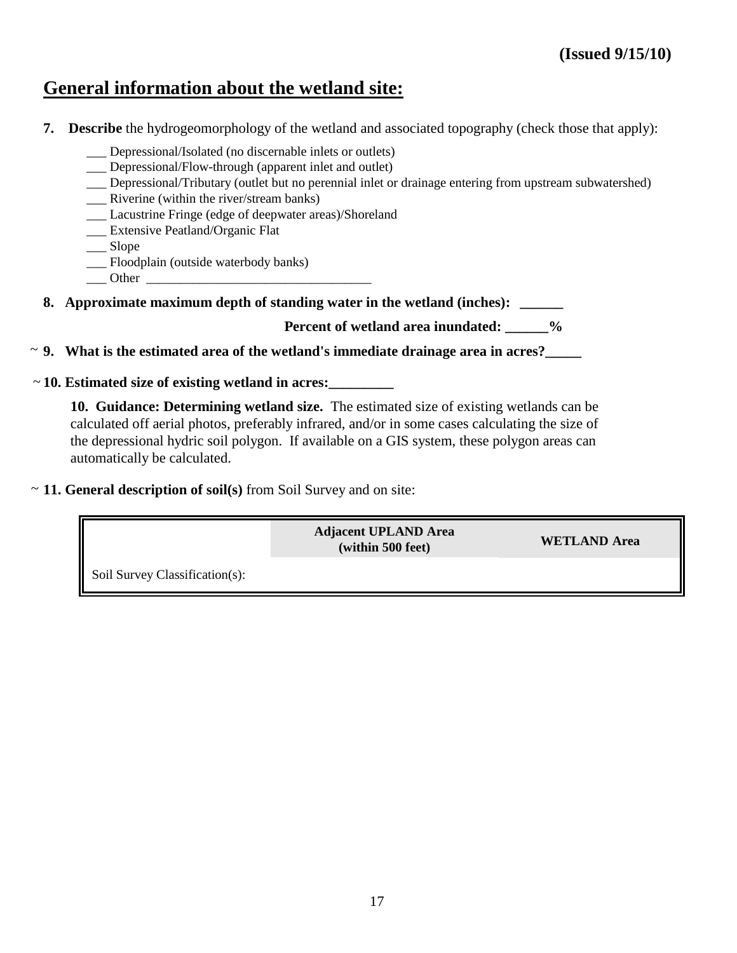# **General information about the wetland site:**

- **7. Describe** the hydrogeomorphology of the wetland and associated topography (check those that apply):
	- Depressional/Isolated (no discernable inlets or outlets)
	- Depressional/Flow-through (apparent inlet and outlet)
	- \_\_\_ Depressional/Tributary (outlet but no perennial inlet or drainage entering from upstream subwatershed)
	- Riverine (within the river/stream banks)
	- \_\_\_ Lacustrine Fringe (edge of deepwater areas)/Shoreland
	- \_\_\_ Extensive Peatland/Organic Flat
	- \_\_\_ Slope
	- \_\_\_ Floodplain (outside waterbody banks)
	- $\rule{1em}{0}$  Other  $\lule{1em}{0}$

**8. Approximate maximum depth of standing water in the wetland (inches): \_\_\_\_\_\_**

Percent of wetland area inundated:  $\frac{9}{6}$ 

**9. What is the estimated area of the wetland's immediate drainage area in acres?\_\_\_\_\_** ~

#### **10. Estimated size of existing wetland in acres:\_\_\_\_\_\_\_\_\_** ~

**10. Guidance: Determining wetland size.** The estimated size of existing wetlands can be calculated off aerial photos, preferably infrared, and/or in some cases calculating the size of the depressional hydric soil polygon. If available on a GIS system, these polygon areas can automatically be calculated.

~ 11. General description of soil(s) from Soil Survey and on site:

**Adjacent UPLAND Area (within 500 feet) WETLAND Area**

Soil Survey Classification(s):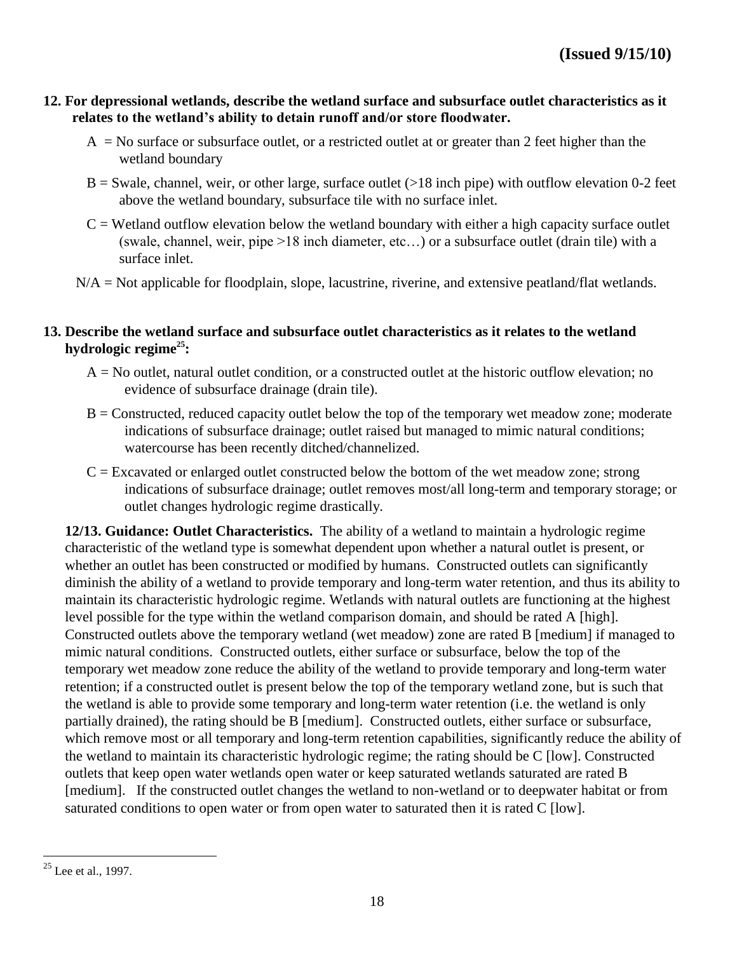#### **12. For depressional wetlands, describe the wetland surface and subsurface outlet characteristics as it relates to the wetland's ability to detain runoff and/or store floodwater.**

- $A = No$  surface or subsurface outlet, or a restricted outlet at or greater than 2 feet higher than the wetland boundary
- $B =$  Swale, channel, weir, or other large, surface outlet ( $>18$  inch pipe) with outflow elevation 0-2 feet above the wetland boundary, subsurface tile with no surface inlet.
- $C =$  Wetland outflow elevation below the wetland boundary with either a high capacity surface outlet (swale, channel, weir, pipe >18 inch diameter, etc…) or a subsurface outlet (drain tile) with a surface inlet.
- N/A = Not applicable for floodplain, slope, lacustrine, riverine, and extensive peatland/flat wetlands.

#### **13. Describe the wetland surface and subsurface outlet characteristics as it relates to the wetland hydrologic regime<sup>25</sup>:**

- $A = No$  outlet, natural outlet condition, or a constructed outlet at the historic outflow elevation; no evidence of subsurface drainage (drain tile).
- $B =$ Constructed, reduced capacity outlet below the top of the temporary wet meadow zone; moderate indications of subsurface drainage; outlet raised but managed to mimic natural conditions; watercourse has been recently ditched/channelized.
- $C =$  Excavated or enlarged outlet constructed below the bottom of the wet meadow zone; strong indications of subsurface drainage; outlet removes most/all long-term and temporary storage; or outlet changes hydrologic regime drastically.

**12/13. Guidance: Outlet Characteristics.** The ability of a wetland to maintain a hydrologic regime characteristic of the wetland type is somewhat dependent upon whether a natural outlet is present, or whether an outlet has been constructed or modified by humans. Constructed outlets can significantly diminish the ability of a wetland to provide temporary and long-term water retention, and thus its ability to maintain its characteristic hydrologic regime. Wetlands with natural outlets are functioning at the highest level possible for the type within the wetland comparison domain, and should be rated A [high]. Constructed outlets above the temporary wetland (wet meadow) zone are rated B [medium] if managed to mimic natural conditions. Constructed outlets, either surface or subsurface, below the top of the temporary wet meadow zone reduce the ability of the wetland to provide temporary and long-term water retention; if a constructed outlet is present below the top of the temporary wetland zone, but is such that the wetland is able to provide some temporary and long-term water retention (i.e. the wetland is only partially drained), the rating should be B [medium]. Constructed outlets, either surface or subsurface, which remove most or all temporary and long-term retention capabilities, significantly reduce the ability of the wetland to maintain its characteristic hydrologic regime; the rating should be C [low]. Constructed outlets that keep open water wetlands open water or keep saturated wetlands saturated are rated B [medium]. If the constructed outlet changes the wetland to non-wetland or to deepwater habitat or from saturated conditions to open water or from open water to saturated then it is rated C [low].

 $25$  Lee et al., 1997.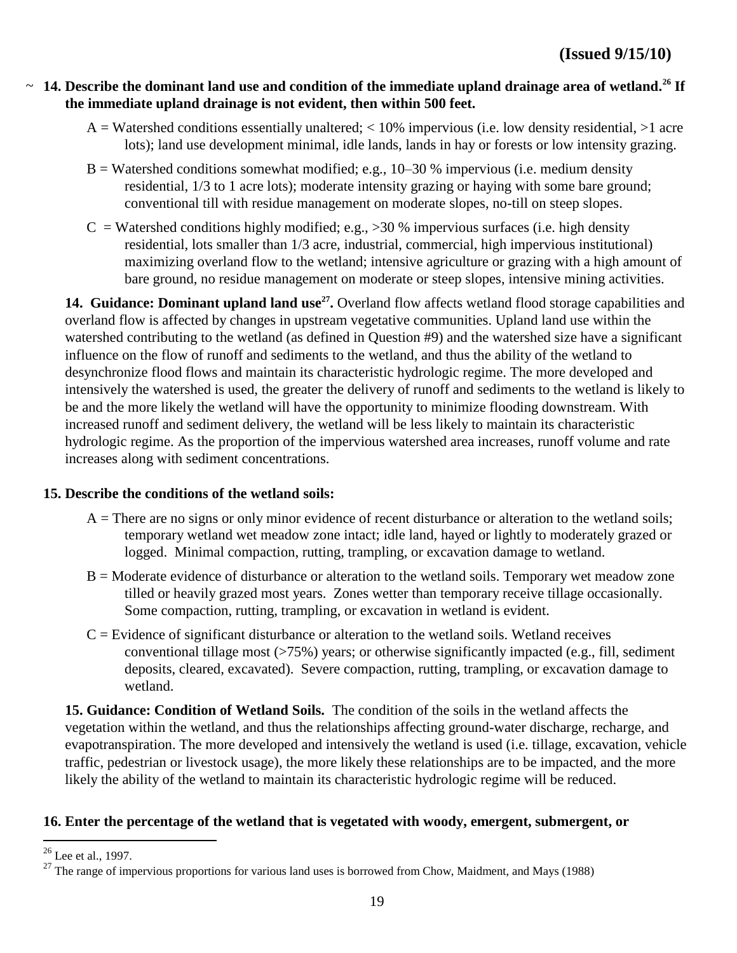#### **14. Describe the dominant land use and condition of the immediate upland drainage area of wetland.<sup>26</sup> If**  ~**the immediate upland drainage is not evident, then within 500 feet.**

- $A = W$ atershed conditions essentially unaltered;  $< 10\%$  impervious (i.e. low density residential,  $>1$  acre lots); land use development minimal, idle lands, lands in hay or forests or low intensity grazing.
- $B = W$ atershed conditions somewhat modified; e.g., 10–30 % impervious (i.e. medium density residential, 1/3 to 1 acre lots); moderate intensity grazing or haying with some bare ground; conventional till with residue management on moderate slopes, no-till on steep slopes.
- $C = W$ atershed conditions highly modified; e.g., >30 % impervious surfaces (i.e. high density residential, lots smaller than 1/3 acre, industrial, commercial, high impervious institutional) maximizing overland flow to the wetland; intensive agriculture or grazing with a high amount of bare ground, no residue management on moderate or steep slopes, intensive mining activities.

14. Guidance: Dominant upland land use<sup>27</sup>. Overland flow affects wetland flood storage capabilities and overland flow is affected by changes in upstream vegetative communities. Upland land use within the watershed contributing to the wetland (as defined in Question #9) and the watershed size have a significant influence on the flow of runoff and sediments to the wetland, and thus the ability of the wetland to desynchronize flood flows and maintain its characteristic hydrologic regime. The more developed and intensively the watershed is used, the greater the delivery of runoff and sediments to the wetland is likely to be and the more likely the wetland will have the opportunity to minimize flooding downstream. With increased runoff and sediment delivery, the wetland will be less likely to maintain its characteristic hydrologic regime. As the proportion of the impervious watershed area increases, runoff volume and rate increases along with sediment concentrations.

#### **15. Describe the conditions of the wetland soils:**

- $A =$ There are no signs or only minor evidence of recent disturbance or alteration to the wetland soils; temporary wetland wet meadow zone intact; idle land, hayed or lightly to moderately grazed or logged. Minimal compaction, rutting, trampling, or excavation damage to wetland.
- $B =$ Moderate evidence of disturbance or alteration to the wetland soils. Temporary wet meadow zone tilled or heavily grazed most years. Zones wetter than temporary receive tillage occasionally. Some compaction, rutting, trampling, or excavation in wetland is evident.
- $C =$  Evidence of significant disturbance or alteration to the wetland soils. Wetland receives conventional tillage most  $($ >75%) years; or otherwise significantly impacted (e.g., fill, sediment deposits, cleared, excavated). Severe compaction, rutting, trampling, or excavation damage to wetland.

**15. Guidance: Condition of Wetland Soils.** The condition of the soils in the wetland affects the vegetation within the wetland, and thus the relationships affecting ground-water discharge, recharge, and evapotranspiration. The more developed and intensively the wetland is used (i.e. tillage, excavation, vehicle traffic, pedestrian or livestock usage), the more likely these relationships are to be impacted, and the more likely the ability of the wetland to maintain its characteristic hydrologic regime will be reduced.

# **16. Enter the percentage of the wetland that is vegetated with woody, emergent, submergent, or**

<sup>26</sup> Lee et al., 1997.

 $27$  The range of impervious proportions for various land uses is borrowed from Chow, Maidment, and Mays (1988)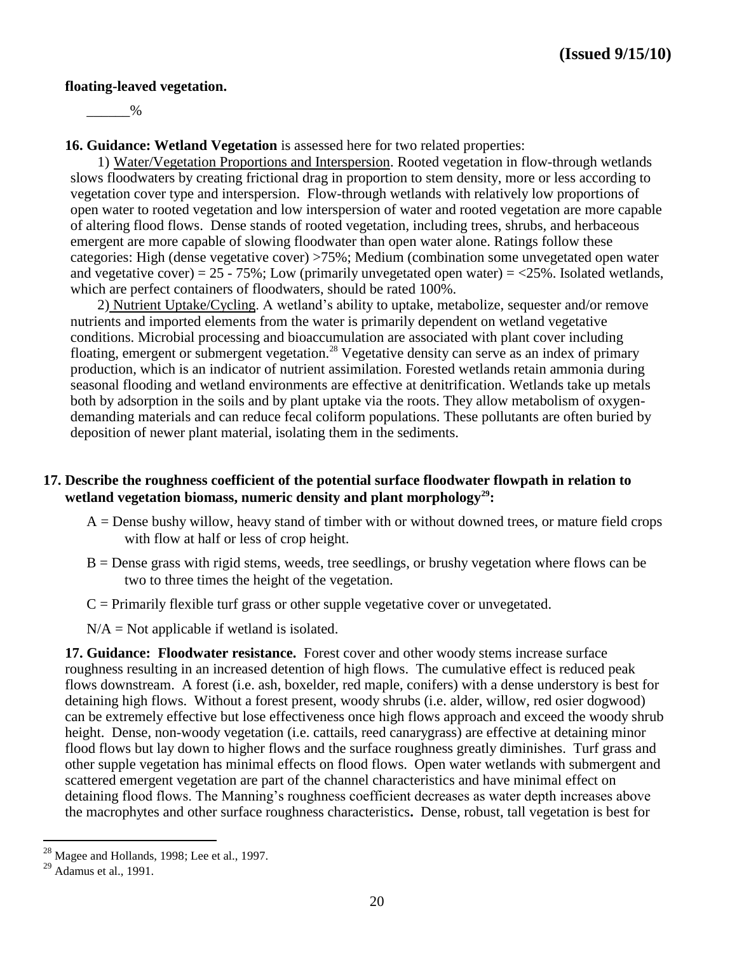#### **floating-leaved vegetation.**

 $\%$ 

**16. Guidance: Wetland Vegetation** is assessed here for two related properties:

1) Water/Vegetation Proportions and Interspersion. Rooted vegetation in flow-through wetlands slows floodwaters by creating frictional drag in proportion to stem density, more or less according to vegetation cover type and interspersion. Flow-through wetlands with relatively low proportions of open water to rooted vegetation and low interspersion of water and rooted vegetation are more capable of altering flood flows. Dense stands of rooted vegetation, including trees, shrubs, and herbaceous emergent are more capable of slowing floodwater than open water alone. Ratings follow these categories: High (dense vegetative cover) >75%; Medium (combination some unvegetated open water and vegetative cover) =  $25 - 75\%$ ; Low (primarily unvegetated open water) =  $\langle 25\%$ . Isolated wetlands, which are perfect containers of floodwaters, should be rated 100%.

2) Nutrient Uptake/Cycling. A wetland's ability to uptake, metabolize, sequester and/or remove nutrients and imported elements from the water is primarily dependent on wetland vegetative conditions. Microbial processing and bioaccumulation are associated with plant cover including floating, emergent or submergent vegetation.<sup>28</sup> Vegetative density can serve as an index of primary production, which is an indicator of nutrient assimilation. Forested wetlands retain ammonia during seasonal flooding and wetland environments are effective at denitrification. Wetlands take up metals both by adsorption in the soils and by plant uptake via the roots. They allow metabolism of oxygendemanding materials and can reduce fecal coliform populations. These pollutants are often buried by deposition of newer plant material, isolating them in the sediments.

#### **17. Describe the roughness coefficient of the potential surface floodwater flowpath in relation to wetland vegetation biomass, numeric density and plant morphology<sup>29</sup>:**

- $A =$  Dense bushy willow, heavy stand of timber with or without downed trees, or mature field crops with flow at half or less of crop height.
- $B =$  Dense grass with rigid stems, weeds, tree seedlings, or brushy vegetation where flows can be two to three times the height of the vegetation.
- $C =$  Primarily flexible turf grass or other supple vegetative cover or unvegetated.
- $N/A = Not$  applicable if wetland is isolated.

**17. Guidance: Floodwater resistance.** Forest cover and other woody stems increase surface roughness resulting in an increased detention of high flows. The cumulative effect is reduced peak flows downstream. A forest (i.e. ash, boxelder, red maple, conifers) with a dense understory is best for detaining high flows. Without a forest present, woody shrubs (i.e. alder, willow, red osier dogwood) can be extremely effective but lose effectiveness once high flows approach and exceed the woody shrub height. Dense, non-woody vegetation *(i.e. cattails, reed canarygrass)* are effective at detaining minor flood flows but lay down to higher flows and the surface roughness greatly diminishes. Turf grass and other supple vegetation has minimal effects on flood flows. Open water wetlands with submergent and scattered emergent vegetation are part of the channel characteristics and have minimal effect on detaining flood flows. The Manning's roughness coefficient decreases as water depth increases above the macrophytes and other surface roughness characteristics**.** Dense, robust, tall vegetation is best for

 $^{28}$  Magee and Hollands, 1998; Lee et al., 1997.

 $29$  Adamus et al., 1991.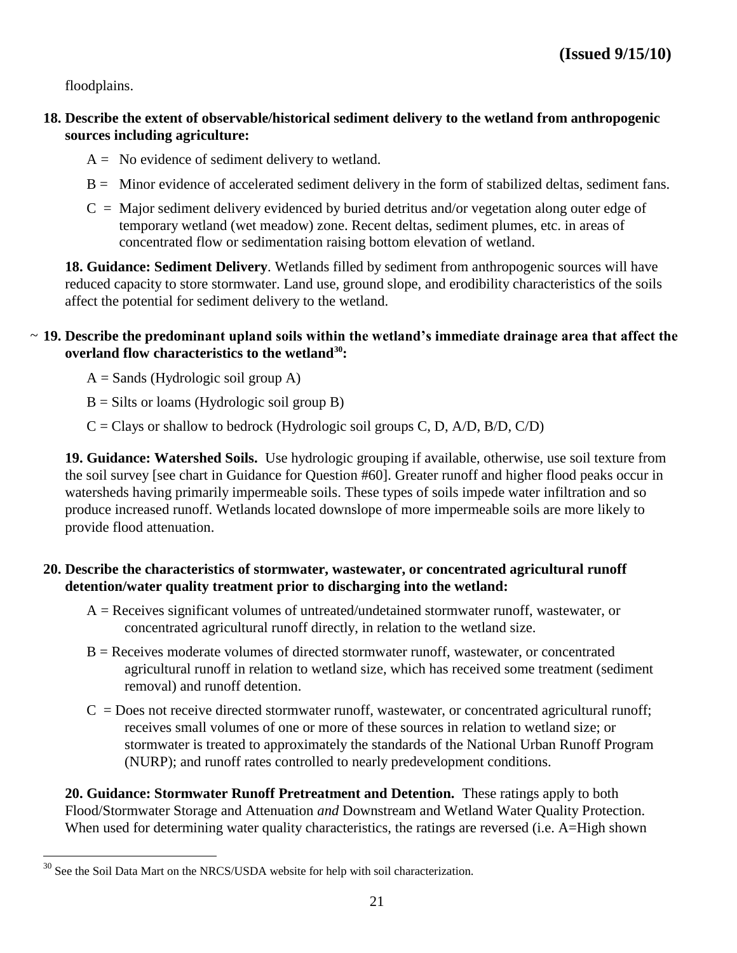floodplains.

 $\overline{a}$ 

- **18. Describe the extent of observable/historical sediment delivery to the wetland from anthropogenic sources including agriculture:**
	- $A = No$  evidence of sediment delivery to wetland.
	- B = Minor evidence of accelerated sediment delivery in the form of stabilized deltas, sediment fans.
	- $C =$  Major sediment delivery evidenced by buried detritus and/or vegetation along outer edge of temporary wetland (wet meadow) zone. Recent deltas, sediment plumes, etc. in areas of concentrated flow or sedimentation raising bottom elevation of wetland.

**18. Guidance: Sediment Delivery**. Wetlands filled by sediment from anthropogenic sources will have reduced capacity to store stormwater. Land use, ground slope, and erodibility characteristics of the soils affect the potential for sediment delivery to the wetland.

# **19. Describe the predominant upland soils within the wetland's immediate drainage area that affect the**  ~**overland flow characteristics to the wetland<sup>30</sup>:**

 $A =$  Sands (Hydrologic soil group A)

 $B = S$ ilts or loams (Hydrologic soil group B)

 $C = Clays$  or shallow to bedrock (Hydrologic soil groups C, D, A/D, B/D, C/D)

**19. Guidance: Watershed Soils.** Use hydrologic grouping if available, otherwise, use soil texture from the soil survey [see chart in Guidance for Question #60]. Greater runoff and higher flood peaks occur in watersheds having primarily impermeable soils. These types of soils impede water infiltration and so produce increased runoff. Wetlands located downslope of more impermeable soils are more likely to provide flood attenuation.

# **20. Describe the characteristics of stormwater, wastewater, or concentrated agricultural runoff detention/water quality treatment prior to discharging into the wetland:**

- A = Receives significant volumes of untreated/undetained stormwater runoff, wastewater, or concentrated agricultural runoff directly, in relation to the wetland size.
- B = Receives moderate volumes of directed stormwater runoff, wastewater, or concentrated agricultural runoff in relation to wetland size, which has received some treatment (sediment removal) and runoff detention.
- $C =$  Does not receive directed stormwater runoff, wastewater, or concentrated agricultural runoff; receives small volumes of one or more of these sources in relation to wetland size; or stormwater is treated to approximately the standards of the National Urban Runoff Program (NURP); and runoff rates controlled to nearly predevelopment conditions.

**20. Guidance: Stormwater Runoff Pretreatment and Detention.** These ratings apply to both Flood/Stormwater Storage and Attenuation *and* Downstream and Wetland Water Quality Protection. When used for determining water quality characteristics, the ratings are reversed (i.e. A=High shown

 $30$  See the Soil Data Mart on the NRCS/USDA website for help with soil characterization.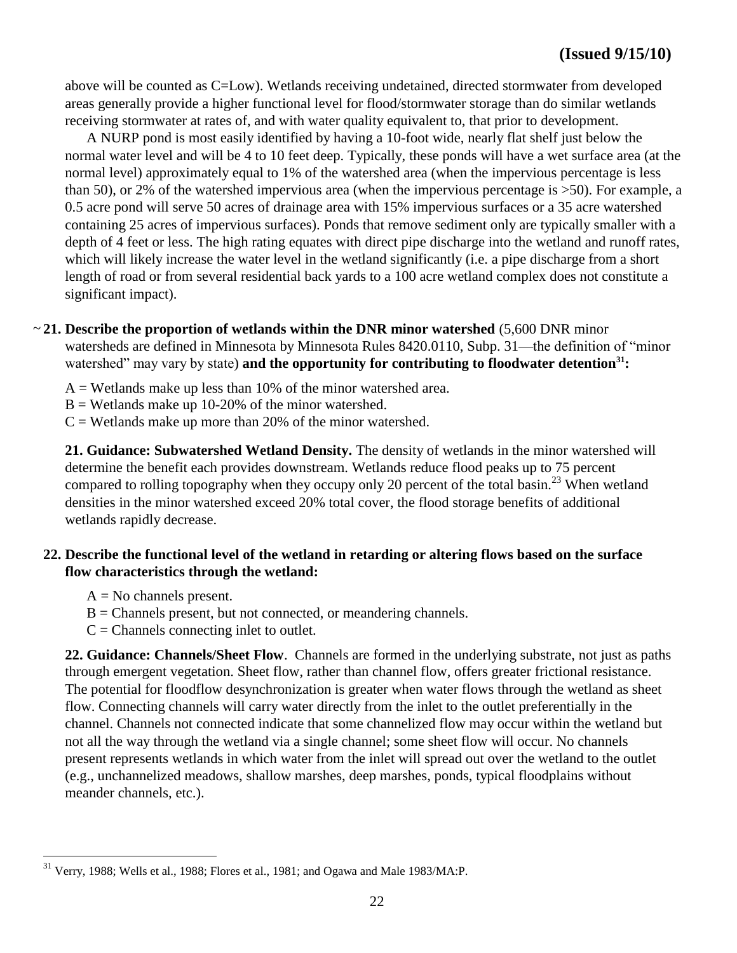above will be counted as C=Low). Wetlands receiving undetained, directed stormwater from developed areas generally provide a higher functional level for flood/stormwater storage than do similar wetlands receiving stormwater at rates of, and with water quality equivalent to, that prior to development.

A NURP pond is most easily identified by having a 10-foot wide, nearly flat shelf just below the normal water level and will be 4 to 10 feet deep. Typically, these ponds will have a wet surface area (at the normal level) approximately equal to 1% of the watershed area (when the impervious percentage is less than 50), or 2% of the watershed impervious area (when the impervious percentage is >50). For example, a 0.5 acre pond will serve 50 acres of drainage area with 15% impervious surfaces or a 35 acre watershed containing 25 acres of impervious surfaces). Ponds that remove sediment only are typically smaller with a depth of 4 feet or less. The high rating equates with direct pipe discharge into the wetland and runoff rates, which will likely increase the water level in the wetland significantly (i.e. a pipe discharge from a short length of road or from several residential back yards to a 100 acre wetland complex does not constitute a significant impact).

### ~21. Describe the proportion of wetlands within the DNR minor watershed (5,600 DNR minor watersheds are defined in Minnesota by Minnesota Rules 8420.0110, Subp. 31—the definition of "minor" watershed" may vary by state) **and the opportunity for contributing to floodwater detention<sup>31</sup><b>:**

 $A = W$ etlands make up less than 10% of the minor watershed area.

 $B = W$ etlands make up 10-20% of the minor watershed.

 $C = W$ etlands make up more than 20% of the minor watershed.

**21. Guidance: Subwatershed Wetland Density.** The density of wetlands in the minor watershed will determine the benefit each provides downstream. Wetlands reduce flood peaks up to 75 percent compared to rolling topography when they occupy only 20 percent of the total basin.<sup>23</sup> When wetland densities in the minor watershed exceed 20% total cover, the flood storage benefits of additional wetlands rapidly decrease.

#### **22. Describe the functional level of the wetland in retarding or altering flows based on the surface flow characteristics through the wetland:**

 $A = No$  channels present.

 $\overline{a}$ 

- $B =$ Channels present, but not connected, or meandering channels.
- $C =$  Channels connecting inlet to outlet.

**22. Guidance: Channels/Sheet Flow**. Channels are formed in the underlying substrate, not just as paths through emergent vegetation. Sheet flow, rather than channel flow, offers greater frictional resistance. The potential for floodflow desynchronization is greater when water flows through the wetland as sheet flow. Connecting channels will carry water directly from the inlet to the outlet preferentially in the channel. Channels not connected indicate that some channelized flow may occur within the wetland but not all the way through the wetland via a single channel; some sheet flow will occur. No channels present represents wetlands in which water from the inlet will spread out over the wetland to the outlet (e.g., unchannelized meadows, shallow marshes, deep marshes, ponds, typical floodplains without meander channels, etc.).

 $31$  Verry, 1988; Wells et al., 1988; Flores et al., 1981; and Ogawa and Male 1983/MA:P.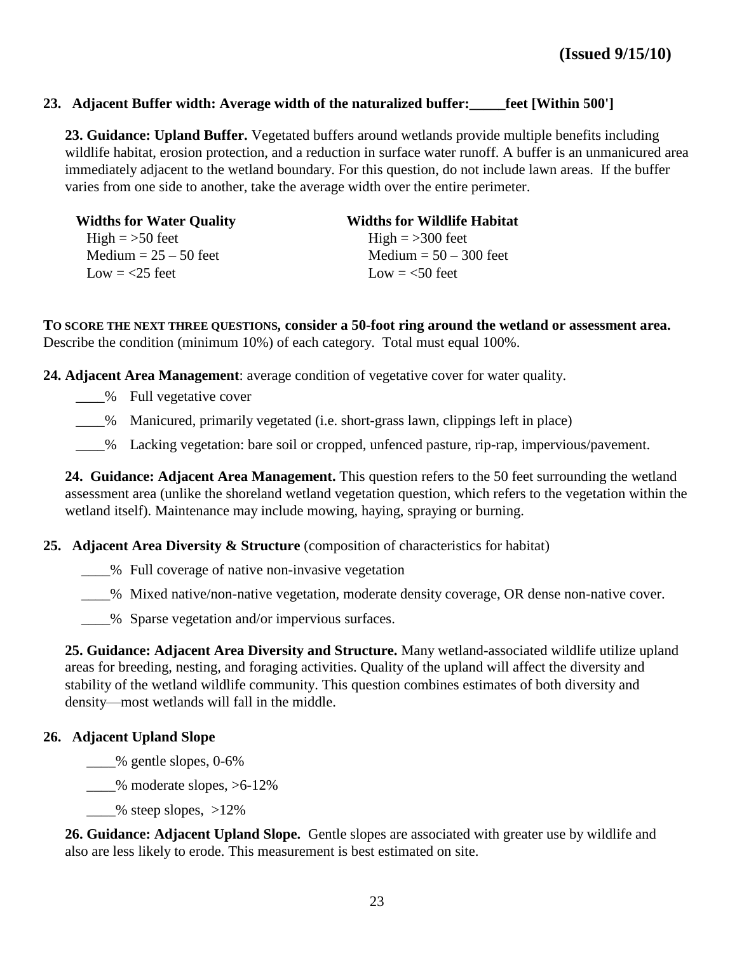#### **23. Adjacent Buffer width: Average width of the naturalized buffer:\_\_\_\_\_feet [Within 500']**

**23. Guidance: Upland Buffer.** Vegetated buffers around wetlands provide multiple benefits including wildlife habitat, erosion protection, and a reduction in surface water runoff. A buffer is an unmanicured area immediately adjacent to the wetland boundary. For this question, do not include lawn areas. If the buffer varies from one side to another, take the average width over the entire perimeter.

| <b>Widths for Water Quality</b> | <b>Widths for Wildlife Habitat</b> |
|---------------------------------|------------------------------------|
| High $=$ >50 feet               | High $=$ >300 feet                 |
| Medium $= 25 - 50$ feet         | Medium $= 50 - 300$ feet           |
| Low $=$ $<$ 25 feet             | Low $=$ <50 feet                   |

**TO SCORE THE NEXT THREE QUESTIONS***,* **consider a 50-foot ring around the wetland or assessment area.**  Describe the condition (minimum 10%) of each category. Total must equal 100%.

**24. Adjacent Area Management**: average condition of vegetative cover for water quality.

- \_\_\_% Full vegetative cover
- \_\_\_\_% Manicured, primarily vegetated (i.e. short-grass lawn, clippings left in place)

\_\_\_\_% Lacking vegetation: bare soil or cropped, unfenced pasture, rip-rap, impervious/pavement.

**24. Guidance: Adjacent Area Management.** This question refers to the 50 feet surrounding the wetland assessment area (unlike the shoreland wetland vegetation question, which refers to the vegetation within the wetland itself). Maintenance may include mowing, haying, spraying or burning.

**25. Adjacent Area Diversity & Structure** (composition of characteristics for habitat)

\_\_\_\_% Full coverage of native non-invasive vegetation

\_\_\_\_% Mixed native/non-native vegetation, moderate density coverage, OR dense non-native cover.

\_\_\_\_% Sparse vegetation and/or impervious surfaces.

**25. Guidance: Adjacent Area Diversity and Structure.** Many wetland-associated wildlife utilize upland areas for breeding, nesting, and foraging activities. Quality of the upland will affect the diversity and stability of the wetland wildlife community. This question combines estimates of both diversity and density—most wetlands will fall in the middle.

#### **26. Adjacent Upland Slope**

 $\frac{1}{2}$ % gentle slopes, 0-6%

 $\frac{1}{2}$ % moderate slopes, >6-12%

 $\frac{1}{2}$  % steep slopes,  $>12\%$ 

**26. Guidance: Adjacent Upland Slope.** Gentle slopes are associated with greater use by wildlife and also are less likely to erode. This measurement is best estimated on site.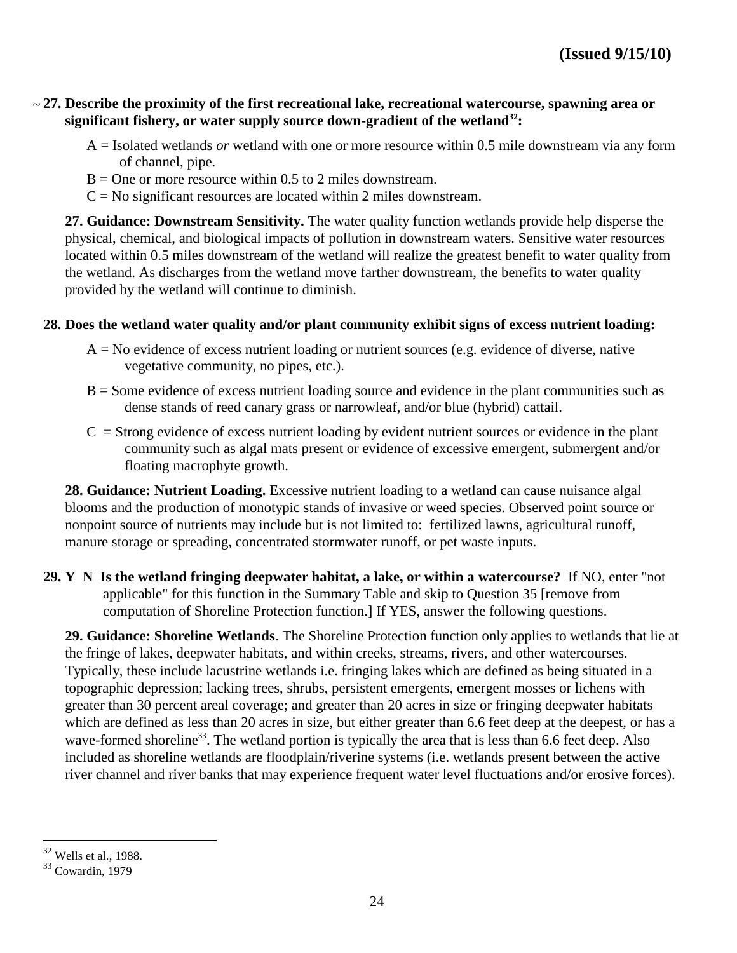#### **27. Describe the proximity of the first recreational lake, recreational watercourse, spawning area or**  ~**significant fishery, or water supply source down-gradient of the wetland<sup>32</sup>:**

- A = Isolated wetlands *or* wetland with one or more resource within 0.5 mile downstream via any form of channel, pipe.
- $B =$ One or more resource within 0.5 to 2 miles downstream.
- $C = No$  significant resources are located within 2 miles downstream.

**27. Guidance: Downstream Sensitivity.** The water quality function wetlands provide help disperse the physical, chemical, and biological impacts of pollution in downstream waters. Sensitive water resources located within 0.5 miles downstream of the wetland will realize the greatest benefit to water quality from the wetland. As discharges from the wetland move farther downstream, the benefits to water quality provided by the wetland will continue to diminish.

#### **28. Does the wetland water quality and/or plant community exhibit signs of excess nutrient loading:**

- $A = No$  evidence of excess nutrient loading or nutrient sources (e.g. evidence of diverse, native vegetative community, no pipes, etc.).
- $B =$  Some evidence of excess nutrient loading source and evidence in the plant communities such as dense stands of reed canary grass or narrowleaf, and/or blue (hybrid) cattail.
- $C =$  Strong evidence of excess nutrient loading by evident nutrient sources or evidence in the plant community such as algal mats present or evidence of excessive emergent, submergent and/or floating macrophyte growth.

**28. Guidance: Nutrient Loading.** Excessive nutrient loading to a wetland can cause nuisance algal blooms and the production of monotypic stands of invasive or weed species. Observed point source or nonpoint source of nutrients may include but is not limited to: fertilized lawns, agricultural runoff, manure storage or spreading, concentrated stormwater runoff, or pet waste inputs.

**29. Y N Is the wetland fringing deepwater habitat, a lake, or within a watercourse?** If NO, enter "not applicable" for this function in the Summary Table and skip to Question 35 [remove from computation of Shoreline Protection function.] If YES, answer the following questions.

**29. Guidance: Shoreline Wetlands**. The Shoreline Protection function only applies to wetlands that lie at the fringe of lakes, deepwater habitats, and within creeks, streams, rivers, and other watercourses. Typically, these include lacustrine wetlands i.e. fringing lakes which are defined as being situated in a topographic depression; lacking trees, shrubs, persistent emergents, emergent mosses or lichens with greater than 30 percent areal coverage; and greater than 20 acres in size or fringing deepwater habitats which are defined as less than 20 acres in size, but either greater than 6.6 feet deep at the deepest, or has a wave-formed shoreline<sup>33</sup>. The wetland portion is typically the area that is less than 6.6 feet deep. Also included as shoreline wetlands are floodplain/riverine systems (i.e. wetlands present between the active river channel and river banks that may experience frequent water level fluctuations and/or erosive forces).

<sup>32</sup> Wells et al., 1988.

<sup>33</sup> Cowardin, 1979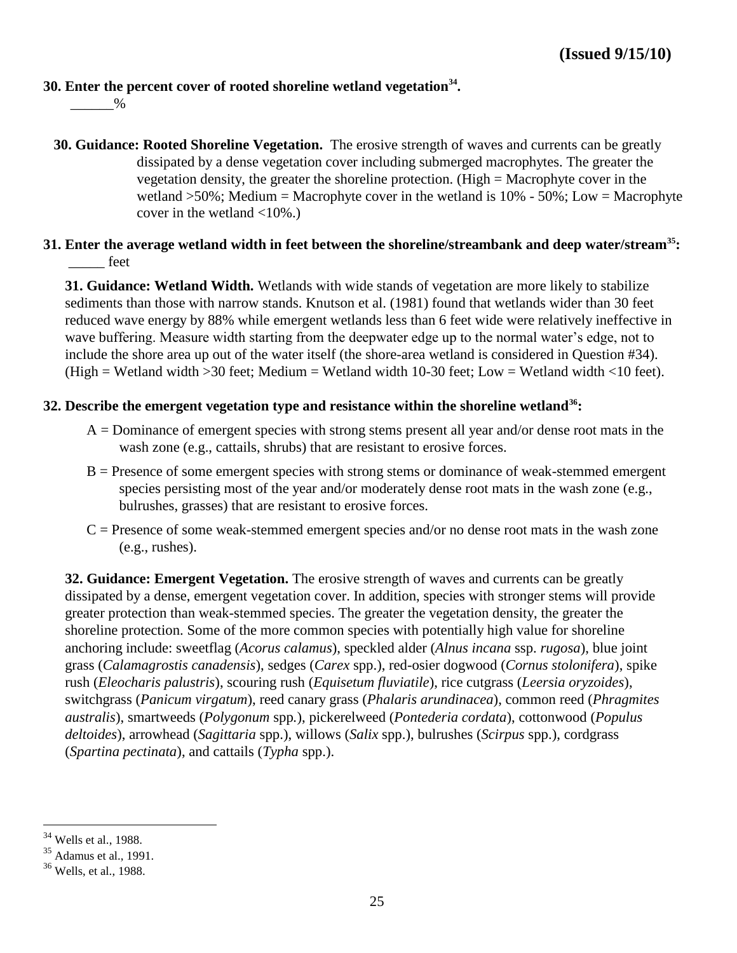#### **30. Enter the percent cover of rooted shoreline wetland vegetation<sup>34</sup> .**

 $\%$ 

- **30. Guidance: Rooted Shoreline Vegetation.** The erosive strength of waves and currents can be greatly dissipated by a dense vegetation cover including submerged macrophytes. The greater the vegetation density, the greater the shoreline protection. (High = Macrophyte cover in the wetland  $>50\%$ ; Medium = Macrophyte cover in the wetland is 10% - 50%; Low = Macrophyte cover in the wetland  $\langle 10\% \rangle$ .
- **31. Enter the average wetland width in feet between the shoreline/streambank and deep water/stream<sup>35</sup>:**  \_\_\_\_\_ feet

**31. Guidance: Wetland Width.** Wetlands with wide stands of vegetation are more likely to stabilize sediments than those with narrow stands. Knutson et al. (1981) found that wetlands wider than 30 feet reduced wave energy by 88% while emergent wetlands less than 6 feet wide were relatively ineffective in wave buffering. Measure width starting from the deepwater edge up to the normal water's edge, not to include the shore area up out of the water itself (the shore-area wetland is considered in Question #34). (High = Wetland width > 30 feet; Medium = Wetland width 10-30 feet; Low = Wetland width <10 feet).

#### **32. Describe the emergent vegetation type and resistance within the shoreline wetland<sup>36</sup>:**

- $A =$  Dominance of emergent species with strong stems present all year and/or dense root mats in the wash zone (e.g., cattails, shrubs) that are resistant to erosive forces.
- $B =$  Presence of some emergent species with strong stems or dominance of weak-stemmed emergent species persisting most of the year and/or moderately dense root mats in the wash zone (e.g., bulrushes, grasses) that are resistant to erosive forces.
- $C =$  Presence of some weak-stemmed emergent species and/or no dense root mats in the wash zone (e.g., rushes).

**32. Guidance: Emergent Vegetation.** The erosive strength of waves and currents can be greatly dissipated by a dense, emergent vegetation cover. In addition, species with stronger stems will provide greater protection than weak-stemmed species. The greater the vegetation density, the greater the shoreline protection. Some of the more common species with potentially high value for shoreline anchoring include: sweetflag (*Acorus calamus*), speckled alder (*Alnus incana* ssp. *rugosa*), blue joint grass (*Calamagrostis canadensis*), sedges (*Carex* spp.), red-osier dogwood (*Cornus stolonifera*), spike rush (*Eleocharis palustris*), scouring rush (*Equisetum fluviatile*), rice cutgrass (*Leersia oryzoides*), switchgrass (*Panicum virgatum*), reed canary grass (*Phalaris arundinacea*), common reed (*Phragmites australis*), smartweeds (*Polygonum* spp*.*), pickerelweed (*Pontederia cordata*), cottonwood (*Populus deltoides*), arrowhead (*Sagittaria* spp.), willows (*Salix* spp.), bulrushes (*Scirpus* spp.), cordgrass (*Spartina pectinata*), and cattails (*Typha* spp.).

 $34$  Wells et al., 1988.

<sup>35</sup> Adamus et al., 1991.

<sup>36</sup> Wells, et al., 1988.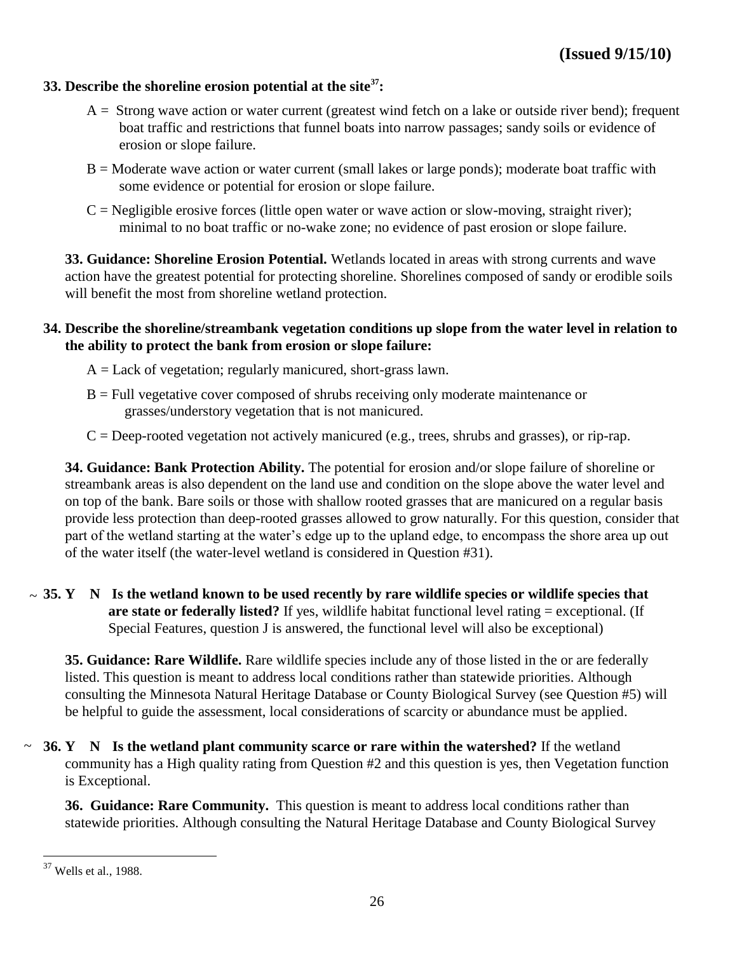#### **33. Describe the shoreline erosion potential at the site<sup>37</sup>:**

- A = Strong wave action or water current (greatest wind fetch on a lake or outside river bend); frequent boat traffic and restrictions that funnel boats into narrow passages; sandy soils or evidence of erosion or slope failure.
- B = Moderate wave action or water current (small lakes or large ponds); moderate boat traffic with some evidence or potential for erosion or slope failure.
- $C =$  Negligible erosive forces (little open water or wave action or slow-moving, straight river); minimal to no boat traffic or no-wake zone; no evidence of past erosion or slope failure.

**33. Guidance: Shoreline Erosion Potential.** Wetlands located in areas with strong currents and wave action have the greatest potential for protecting shoreline. Shorelines composed of sandy or erodible soils will benefit the most from shoreline wetland protection.

#### **34. Describe the shoreline/streambank vegetation conditions up slope from the water level in relation to the ability to protect the bank from erosion or slope failure:**

- $A =$  Lack of vegetation; regularly manicured, short-grass lawn.
- B = Full vegetative cover composed of shrubs receiving only moderate maintenance or grasses/understory vegetation that is not manicured.
- $C = Deep-rooted vegetation not actively maintained (e.g., trees, shrubs and grasses), or rip-rap.$

**34. Guidance: Bank Protection Ability.** The potential for erosion and/or slope failure of shoreline or streambank areas is also dependent on the land use and condition on the slope above the water level and on top of the bank. Bare soils or those with shallow rooted grasses that are manicured on a regular basis provide less protection than deep-rooted grasses allowed to grow naturally. For this question, consider that part of the wetland starting at the water's edge up to the upland edge, to encompass the shore area up out of the water itself (the water-level wetland is considered in Question #31).

 $\sim$  35. Y N Is the wetland known to be used recently by rare wildlife species or wildlife species that **are state or federally listed?** If yes, wildlife habitat functional level rating = exceptional. (If Special Features, question J is answered, the functional level will also be exceptional)

**35. Guidance: Rare Wildlife.** Rare wildlife species include any of those listed in the or are federally listed. This question is meant to address local conditions rather than statewide priorities. Although consulting the Minnesota Natural Heritage Database or County Biological Survey (see Question #5) will be helpful to guide the assessment, local considerations of scarcity or abundance must be applied.

**36. Y N Is the wetland plant community scarce or rare within the watershed?** If the wetland ~community has a High quality rating from Question #2 and this question is yes, then Vegetation function is Exceptional.

**36. Guidance: Rare Community.** This question is meant to address local conditions rather than statewide priorities. Although consulting the Natural Heritage Database and County Biological Survey

 $37$  Wells et al., 1988.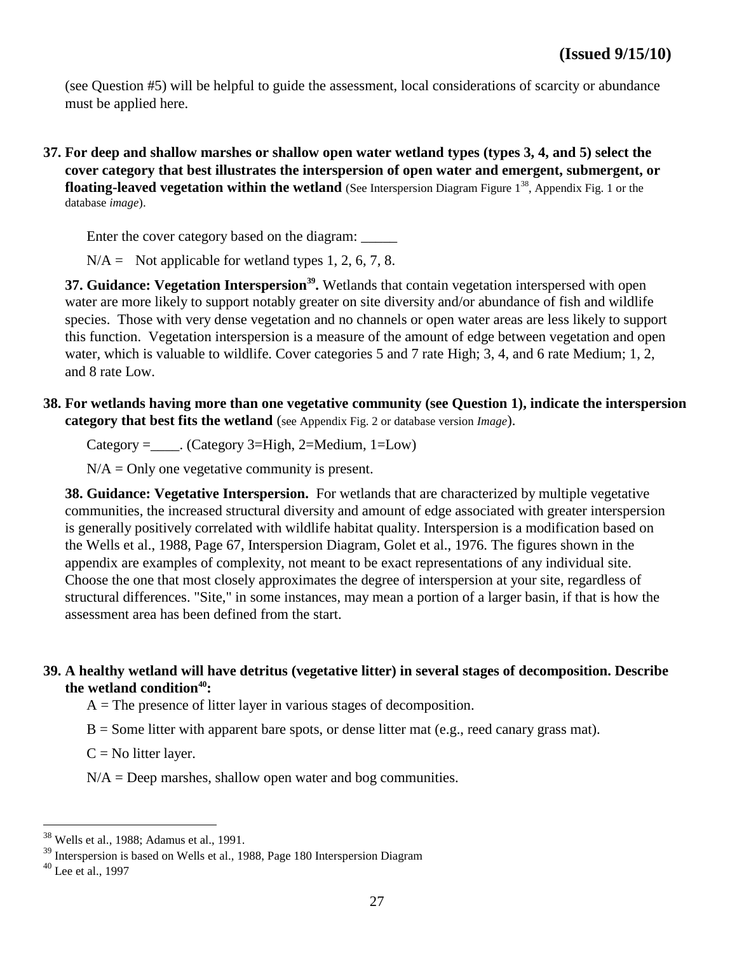(see Question #5) will be helpful to guide the assessment, local considerations of scarcity or abundance must be applied here.

**37. For deep and shallow marshes or shallow open water wetland types (types 3, 4, and 5) select the cover category that best illustrates the interspersion of open water and emergent, submergent, or floating-leaved vegetation within the wetland** (See Interspersion Diagram Figure 1<sup>38</sup>, Appendix Fig. 1 or the database *image*).

Enter the cover category based on the diagram: \_\_\_\_\_\_

 $N/A =$  Not applicable for wetland types 1, 2, 6, 7, 8.

**37. Guidance: Vegetation Interspersion<sup>39</sup> .** Wetlands that contain vegetation interspersed with open water are more likely to support notably greater on site diversity and/or abundance of fish and wildlife species. Those with very dense vegetation and no channels or open water areas are less likely to support this function. Vegetation interspersion is a measure of the amount of edge between vegetation and open water, which is valuable to wildlife. Cover categories 5 and 7 rate High; 3, 4, and 6 rate Medium; 1, 2, and 8 rate Low.

**38. For wetlands having more than one vegetative community (see Question 1), indicate the interspersion category that best fits the wetland** (see Appendix Fig. 2 or database version *Image*).

Category =  $\therefore$  (Category 3=High, 2=Medium, 1=Low)

 $N/A =$  Only one vegetative community is present.

**38. Guidance: Vegetative Interspersion.** For wetlands that are characterized by multiple vegetative communities, the increased structural diversity and amount of edge associated with greater interspersion is generally positively correlated with wildlife habitat quality. Interspersion is a modification based on the Wells et al., 1988, Page 67, Interspersion Diagram, Golet et al., 1976. The figures shown in the appendix are examples of complexity, not meant to be exact representations of any individual site. Choose the one that most closely approximates the degree of interspersion at your site, regardless of structural differences. "Site," in some instances, may mean a portion of a larger basin, if that is how the assessment area has been defined from the start.

#### **39. A healthy wetland will have detritus (vegetative litter) in several stages of decomposition. Describe the wetland condition<sup>40</sup>:**

 $A =$ The presence of litter layer in various stages of decomposition.

 $B =$  Some litter with apparent bare spots, or dense litter mat (e.g., reed canary grass mat).

 $C = No$  litter layer.

 $N/A =$  Deep marshes, shallow open water and bog communities.

<sup>38</sup> Wells et al., 1988; Adamus et al., 1991.

<sup>&</sup>lt;sup>39</sup> Interspersion is based on Wells et al., 1988, Page 180 Interspersion Diagram

 $40$  Lee et al., 1997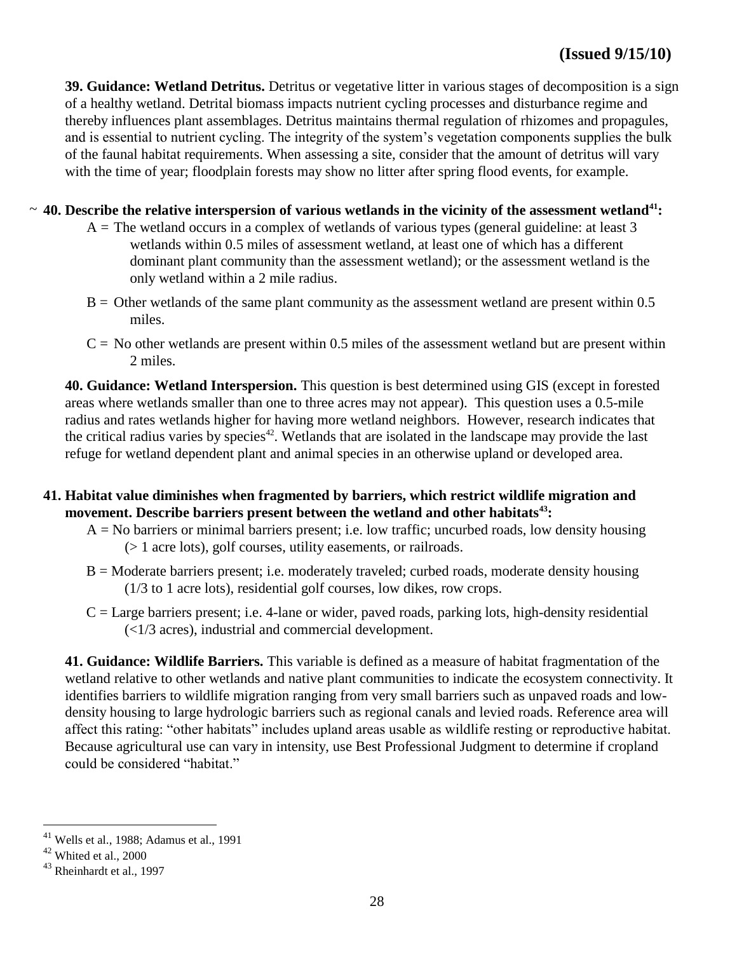**39. Guidance: Wetland Detritus.** Detritus or vegetative litter in various stages of decomposition is a sign of a healthy wetland. Detrital biomass impacts nutrient cycling processes and disturbance regime and thereby influences plant assemblages. Detritus maintains thermal regulation of rhizomes and propagules, and is essential to nutrient cycling. The integrity of the system's vegetation components supplies the bulk of the faunal habitat requirements. When assessing a site, consider that the amount of detritus will vary with the time of year; floodplain forests may show no litter after spring flood events, for example.

# **40. Describe the relative interspersion of various wetlands in the vicinity of the assessment wetland<sup>41</sup>:**  ~

- $A =$ The wetland occurs in a complex of wetlands of various types (general guideline: at least 3 wetlands within 0.5 miles of assessment wetland, at least one of which has a different dominant plant community than the assessment wetland); or the assessment wetland is the only wetland within a 2 mile radius.
- $B =$  Other wetlands of the same plant community as the assessment wetland are present within 0.5 miles.
- $C = No$  other wetlands are present within 0.5 miles of the assessment wetland but are present within 2 miles.

**40. Guidance: Wetland Interspersion.** This question is best determined using GIS (except in forested areas where wetlands smaller than one to three acres may not appear). This question uses a 0.5-mile radius and rates wetlands higher for having more wetland neighbors. However, research indicates that the critical radius varies by species<sup>42</sup>. Wetlands that are isolated in the landscape may provide the last refuge for wetland dependent plant and animal species in an otherwise upland or developed area.

- **41. Habitat value diminishes when fragmented by barriers, which restrict wildlife migration and movement. Describe barriers present between the wetland and other habitats<sup>43</sup>:**
	- $A = No$  barriers or minimal barriers present; i.e. low traffic; uncurbed roads, low density housing (> 1 acre lots), golf courses, utility easements, or railroads.
	- $B =$  Moderate barriers present; i.e. moderately traveled; curbed roads, moderate density housing (1/3 to 1 acre lots), residential golf courses, low dikes, row crops.
	- $C =$  Large barriers present; i.e. 4-lane or wider, paved roads, parking lots, high-density residential (<1/3 acres), industrial and commercial development.

**41. Guidance: Wildlife Barriers.** This variable is defined as a measure of habitat fragmentation of the wetland relative to other wetlands and native plant communities to indicate the ecosystem connectivity. It identifies barriers to wildlife migration ranging from very small barriers such as unpaved roads and lowdensity housing to large hydrologic barriers such as regional canals and levied roads. Reference area will affect this rating: "other habitats" includes upland areas usable as wildlife resting or reproductive habitat. Because agricultural use can vary in intensity, use Best Professional Judgment to determine if cropland could be considered "habitat."

 $41$  Wells et al., 1988; Adamus et al., 1991

<sup>42</sup> Whited et al., 2000

<sup>&</sup>lt;sup>43</sup> Rheinhardt et al., 1997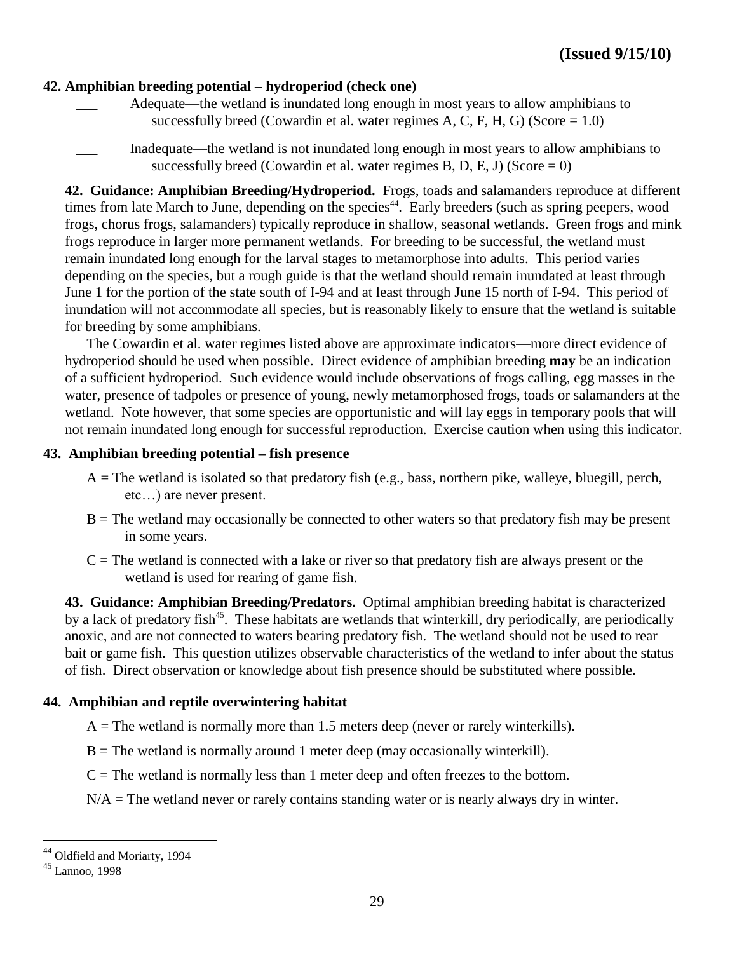# **42. Amphibian breeding potential – hydroperiod (check one)**

- Adequate—the wetland is inundated long enough in most years to allow amphibians to successfully breed (Cowardin et al. water regimes A, C, F, H, G) (Score  $= 1.0$ )
- Inadequate—the wetland is not inundated long enough in most years to allow amphibians to successfully breed (Cowardin et al. water regimes B, D, E, J) (Score  $= 0$ )

**42. Guidance: Amphibian Breeding/Hydroperiod.** Frogs, toads and salamanders reproduce at different times from late March to June, depending on the species<sup>44</sup>. Early breeders (such as spring peepers, wood frogs, chorus frogs, salamanders) typically reproduce in shallow, seasonal wetlands. Green frogs and mink frogs reproduce in larger more permanent wetlands. For breeding to be successful, the wetland must remain inundated long enough for the larval stages to metamorphose into adults. This period varies depending on the species, but a rough guide is that the wetland should remain inundated at least through June 1 for the portion of the state south of I-94 and at least through June 15 north of I-94. This period of inundation will not accommodate all species, but is reasonably likely to ensure that the wetland is suitable for breeding by some amphibians.

The Cowardin et al. water regimes listed above are approximate indicators—more direct evidence of hydroperiod should be used when possible. Direct evidence of amphibian breeding **may** be an indication of a sufficient hydroperiod. Such evidence would include observations of frogs calling, egg masses in the water, presence of tadpoles or presence of young, newly metamorphosed frogs, toads or salamanders at the wetland. Note however, that some species are opportunistic and will lay eggs in temporary pools that will not remain inundated long enough for successful reproduction. Exercise caution when using this indicator.

#### **43. Amphibian breeding potential – fish presence**

- $A =$ The wetland is isolated so that predatory fish (e.g., bass, northern pike, walleye, bluegill, perch, etc…) are never present.
- $B =$ The wetland may occasionally be connected to other waters so that predatory fish may be present in some years.
- $C =$ The wetland is connected with a lake or river so that predatory fish are always present or the wetland is used for rearing of game fish.

**43. Guidance: Amphibian Breeding/Predators.** Optimal amphibian breeding habitat is characterized by a lack of predatory fish<sup>45</sup>. These habitats are wetlands that winterkill, dry periodically, are periodically anoxic, and are not connected to waters bearing predatory fish. The wetland should not be used to rear bait or game fish. This question utilizes observable characteristics of the wetland to infer about the status of fish. Direct observation or knowledge about fish presence should be substituted where possible.

#### **44. Amphibian and reptile overwintering habitat**

 $A =$ The wetland is normally more than 1.5 meters deep (never or rarely winterkills).

 $B =$ The wetland is normally around 1 meter deep (may occasionally winterkill).

- $C =$ The wetland is normally less than 1 meter deep and often freezes to the bottom.
- $N/A$  = The wetland never or rarely contains standing water or is nearly always dry in winter.

<sup>44</sup> Oldfield and Moriarty, 1994

<sup>45</sup> Lannoo, 1998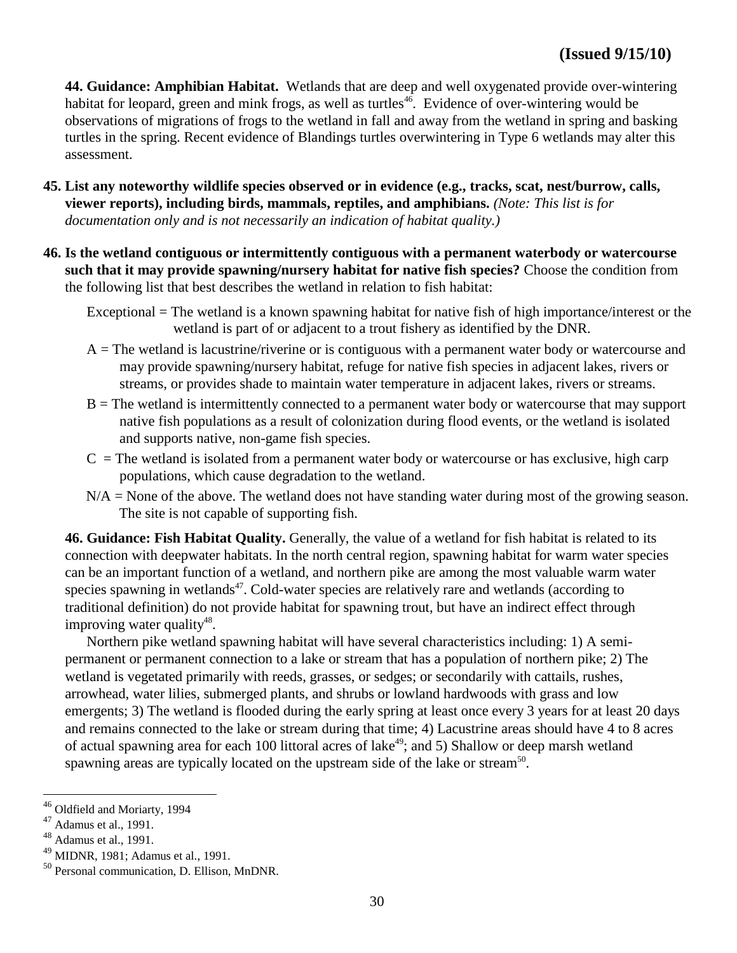**44. Guidance: Amphibian Habitat.** Wetlands that are deep and well oxygenated provide over-wintering habitat for leopard, green and mink frogs, as well as turtles<sup>46</sup>. Evidence of over-wintering would be observations of migrations of frogs to the wetland in fall and away from the wetland in spring and basking turtles in the spring. Recent evidence of Blandings turtles overwintering in Type 6 wetlands may alter this assessment.

- **45. List any noteworthy wildlife species observed or in evidence (e.g., tracks, scat, nest/burrow, calls, viewer reports), including birds, mammals, reptiles, and amphibians.** *(Note: This list is for documentation only and is not necessarily an indication of habitat quality.)*
- **46. Is the wetland contiguous or intermittently contiguous with a permanent waterbody or watercourse such that it may provide spawning/nursery habitat for native fish species?** Choose the condition from the following list that best describes the wetland in relation to fish habitat:

Exceptional = The wetland is a known spawning habitat for native fish of high importance/interest or the wetland is part of or adjacent to a trout fishery as identified by the DNR.

- $A =$ The wetland is lacustrine/riverine or is contiguous with a permanent water body or watercourse and may provide spawning/nursery habitat, refuge for native fish species in adjacent lakes, rivers or streams, or provides shade to maintain water temperature in adjacent lakes, rivers or streams.
- $B =$ The wetland is intermittently connected to a permanent water body or watercourse that may support native fish populations as a result of colonization during flood events, or the wetland is isolated and supports native, non-game fish species.
- $C =$ The wetland is isolated from a permanent water body or watercourse or has exclusive, high carp populations, which cause degradation to the wetland.
- $N/A$  = None of the above. The wetland does not have standing water during most of the growing season. The site is not capable of supporting fish.

**46. Guidance: Fish Habitat Quality.** Generally, the value of a wetland for fish habitat is related to its connection with deepwater habitats. In the north central region, spawning habitat for warm water species can be an important function of a wetland, and northern pike are among the most valuable warm water species spawning in wetlands $47$ . Cold-water species are relatively rare and wetlands (according to traditional definition) do not provide habitat for spawning trout, but have an indirect effect through improving water quality<sup>48</sup>.

Northern pike wetland spawning habitat will have several characteristics including: 1) A semipermanent or permanent connection to a lake or stream that has a population of northern pike; 2) The wetland is vegetated primarily with reeds, grasses, or sedges; or secondarily with cattails, rushes, arrowhead, water lilies, submerged plants, and shrubs or lowland hardwoods with grass and low emergents; 3) The wetland is flooded during the early spring at least once every 3 years for at least 20 days and remains connected to the lake or stream during that time; 4) Lacustrine areas should have 4 to 8 acres of actual spawning area for each 100 littoral acres of lake<sup>49</sup>; and 5) Shallow or deep marsh wetland spawning areas are typically located on the upstream side of the lake or stream<sup>50</sup>.

<sup>46</sup> Oldfield and Moriarty, 1994

<sup>47</sup> Adamus et al., 1991.

<sup>48</sup> Adamus et al., 1991.

<sup>49</sup> MIDNR, 1981; Adamus et al., 1991.

<sup>50</sup> Personal communication, D. Ellison, MnDNR.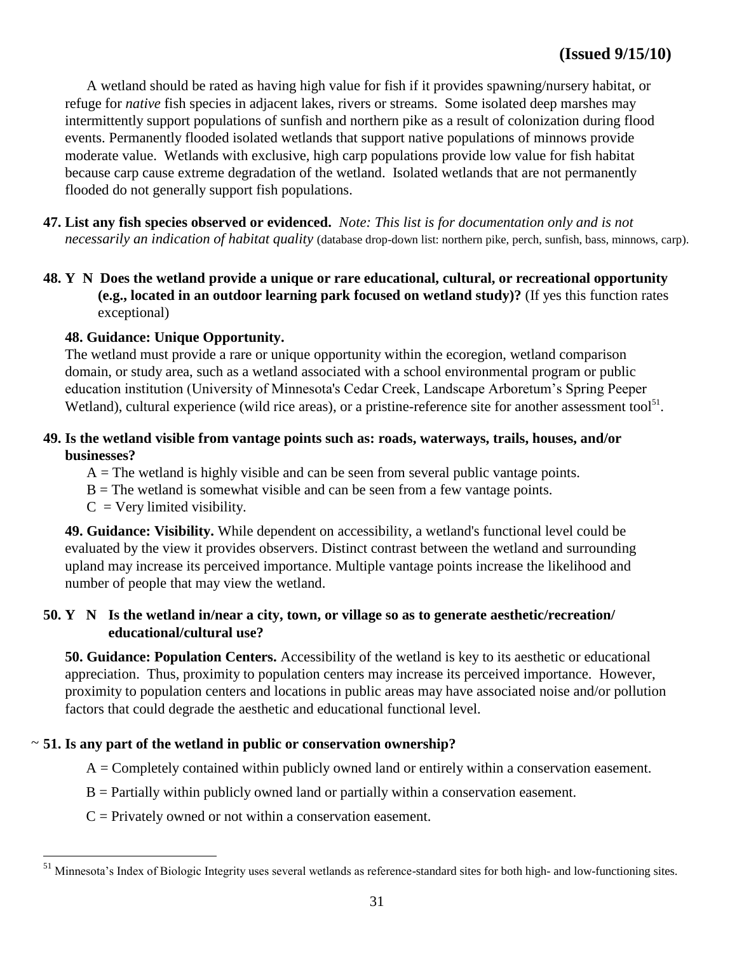A wetland should be rated as having high value for fish if it provides spawning/nursery habitat, or refuge for *native* fish species in adjacent lakes, rivers or streams. Some isolated deep marshes may intermittently support populations of sunfish and northern pike as a result of colonization during flood events. Permanently flooded isolated wetlands that support native populations of minnows provide moderate value. Wetlands with exclusive, high carp populations provide low value for fish habitat because carp cause extreme degradation of the wetland. Isolated wetlands that are not permanently flooded do not generally support fish populations.

- **47. List any fish species observed or evidenced.** *Note: This list is for documentation only and is not necessarily an indication of habitat quality* (database drop-down list: northern pike, perch, sunfish, bass, minnows, carp).
- **48. Y N Does the wetland provide a unique or rare educational, cultural, or recreational opportunity (e.g., located in an outdoor learning park focused on wetland study)?** (If yes this function rates exceptional)

#### **48. Guidance: Unique Opportunity.**

The wetland must provide a rare or unique opportunity within the ecoregion, wetland comparison domain, or study area, such as a wetland associated with a school environmental program or public education institution (University of Minnesota's Cedar Creek, Landscape Arboretum's Spring Peeper Wetland), cultural experience (wild rice areas), or a pristine-reference site for another assessment tool<sup>51</sup>.

### **49. Is the wetland visible from vantage points such as: roads, waterways, trails, houses, and/or businesses?**

 $A =$ The wetland is highly visible and can be seen from several public vantage points.

- $B =$ The wetland is somewhat visible and can be seen from a few vantage points.
- $C = V$ ery limited visibility.

 $\overline{a}$ 

**49. Guidance: Visibility.** While dependent on accessibility, a wetland's functional level could be evaluated by the view it provides observers. Distinct contrast between the wetland and surrounding upland may increase its perceived importance. Multiple vantage points increase the likelihood and number of people that may view the wetland.

#### **50. Y N Is the wetland in/near a city, town, or village so as to generate aesthetic/recreation/ educational/cultural use?**

**50. Guidance: Population Centers.** Accessibility of the wetland is key to its aesthetic or educational appreciation. Thus, proximity to population centers may increase its perceived importance. However, proximity to population centers and locations in public areas may have associated noise and/or pollution factors that could degrade the aesthetic and educational functional level.

#### **51. Is any part of the wetland in public or conservation ownership?**  ~

 $A =$ Completely contained within publicly owned land or entirely within a conservation easement.

- $B =$  Partially within publicly owned land or partially within a conservation easement.
- $C =$  Privately owned or not within a conservation easement.

<sup>&</sup>lt;sup>51</sup> Minnesota's Index of Biologic Integrity uses several wetlands as reference-standard sites for both high- and low-functioning sites.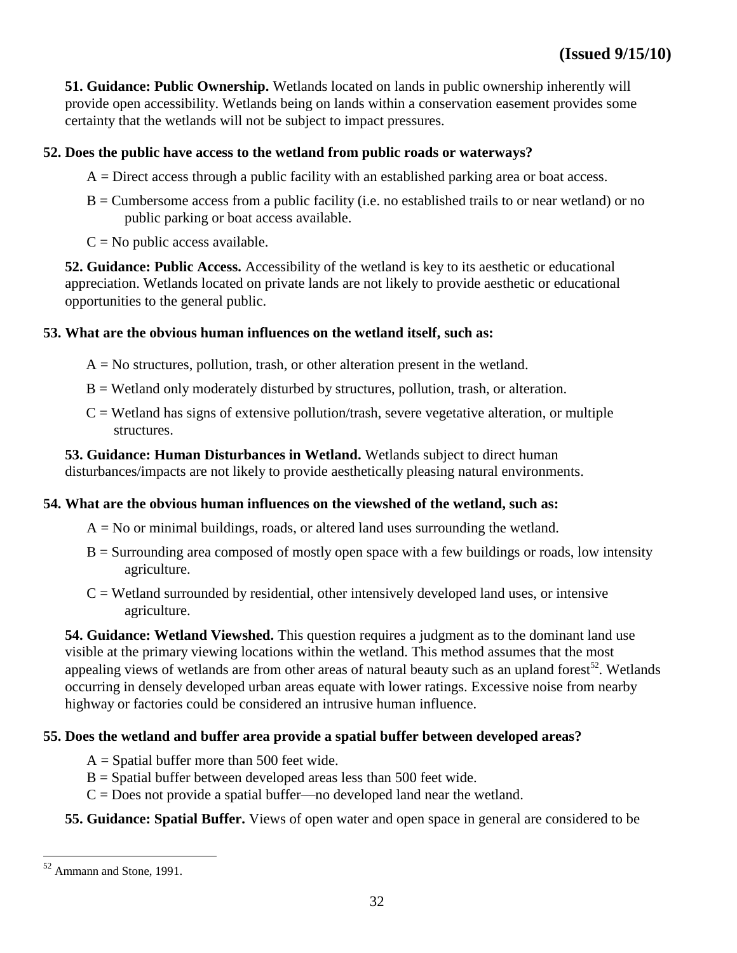**51. Guidance: Public Ownership.** Wetlands located on lands in public ownership inherently will provide open accessibility. Wetlands being on lands within a conservation easement provides some certainty that the wetlands will not be subject to impact pressures.

# **52. Does the public have access to the wetland from public roads or waterways?**

- $A =$  Direct access through a public facility with an established parking area or boat access.
- $B =$  Cumbersome access from a public facility (i.e. no established trails to or near wetland) or no public parking or boat access available.
- $C = No$  public access available.

**52. Guidance: Public Access.** Accessibility of the wetland is key to its aesthetic or educational appreciation. Wetlands located on private lands are not likely to provide aesthetic or educational opportunities to the general public.

#### **53. What are the obvious human influences on the wetland itself, such as:**

- $A = No$  structures, pollution, trash, or other alteration present in the wetland.
- B = Wetland only moderately disturbed by structures, pollution, trash, or alteration.
- $C = W$ etland has signs of extensive pollution/trash, severe vegetative alteration, or multiple structures.

**53. Guidance: Human Disturbances in Wetland.** Wetlands subject to direct human disturbances/impacts are not likely to provide aesthetically pleasing natural environments.

# **54. What are the obvious human influences on the viewshed of the wetland, such as:**

- $A = No$  or minimal buildings, roads, or altered land uses surrounding the wetland.
- $B =$  Surrounding area composed of mostly open space with a few buildings or roads, low intensity agriculture.
- $C = W$ etland surrounded by residential, other intensively developed land uses, or intensive agriculture.

**54. Guidance: Wetland Viewshed.** This question requires a judgment as to the dominant land use visible at the primary viewing locations within the wetland. This method assumes that the most appealing views of wetlands are from other areas of natural beauty such as an upland forest<sup>52</sup>. Wetlands occurring in densely developed urban areas equate with lower ratings. Excessive noise from nearby highway or factories could be considered an intrusive human influence.

# **55. Does the wetland and buffer area provide a spatial buffer between developed areas?**

- $A =$  Spatial buffer more than 500 feet wide.
- $B =$  Spatial buffer between developed areas less than 500 feet wide.
- $C = Does not provide a spatial buffer—no developed land near the wetland.$

#### **55. Guidance: Spatial Buffer.** Views of open water and open space in general are considered to be

<sup>52</sup> Ammann and Stone, 1991.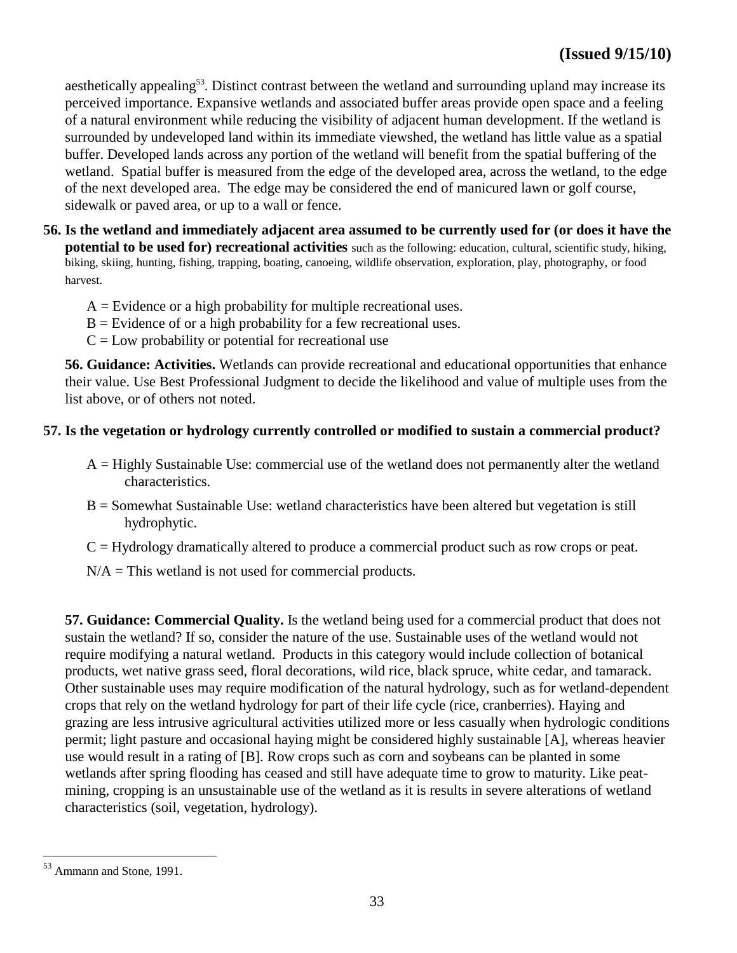aesthetically appealing<sup>53</sup>. Distinct contrast between the wetland and surrounding upland may increase its perceived importance. Expansive wetlands and associated buffer areas provide open space and a feeling of a natural environment while reducing the visibility of adjacent human development. If the wetland is surrounded by undeveloped land within its immediate viewshed, the wetland has little value as a spatial buffer. Developed lands across any portion of the wetland will benefit from the spatial buffering of the wetland. Spatial buffer is measured from the edge of the developed area, across the wetland, to the edge of the next developed area. The edge may be considered the end of manicured lawn or golf course, sidewalk or paved area, or up to a wall or fence.

- **56. Is the wetland and immediately adjacent area assumed to be currently used for (or does it have the potential to be used for) recreational activities** such as the following: education, cultural, scientific study, hiking, biking, skiing, hunting, fishing, trapping, boating, canoeing, wildlife observation, exploration, play, photography, or food harvest.
	- $A =$  Evidence or a high probability for multiple recreational uses.
	- $B =$  Evidence of or a high probability for a few recreational uses.
	- $C = Low$  probability or potential for recreational use

**56. Guidance: Activities.** Wetlands can provide recreational and educational opportunities that enhance their value. Use Best Professional Judgment to decide the likelihood and value of multiple uses from the list above, or of others not noted.

# **57. Is the vegetation or hydrology currently controlled or modified to sustain a commercial product?**

- $A =$  Highly Sustainable Use: commercial use of the wetland does not permanently alter the wetland characteristics.
- B = Somewhat Sustainable Use: wetland characteristics have been altered but vegetation is still hydrophytic.
- $C = Hydrologv$  dramatically altered to produce a commercial product such as row crops or peat.

 $N/A =$ This wetland is not used for commercial products.

**57. Guidance: Commercial Quality.** Is the wetland being used for a commercial product that does not sustain the wetland? If so, consider the nature of the use. Sustainable uses of the wetland would not require modifying a natural wetland. Products in this category would include collection of botanical products, wet native grass seed, floral decorations, wild rice, black spruce, white cedar, and tamarack. Other sustainable uses may require modification of the natural hydrology, such as for wetland-dependent crops that rely on the wetland hydrology for part of their life cycle (rice, cranberries). Haying and grazing are less intrusive agricultural activities utilized more or less casually when hydrologic conditions permit; light pasture and occasional haying might be considered highly sustainable [A], whereas heavier use would result in a rating of [B]. Row crops such as corn and soybeans can be planted in some wetlands after spring flooding has ceased and still have adequate time to grow to maturity. Like peatmining, cropping is an unsustainable use of the wetland as it is results in severe alterations of wetland characteristics (soil, vegetation, hydrology).

<sup>53</sup> Ammann and Stone, 1991.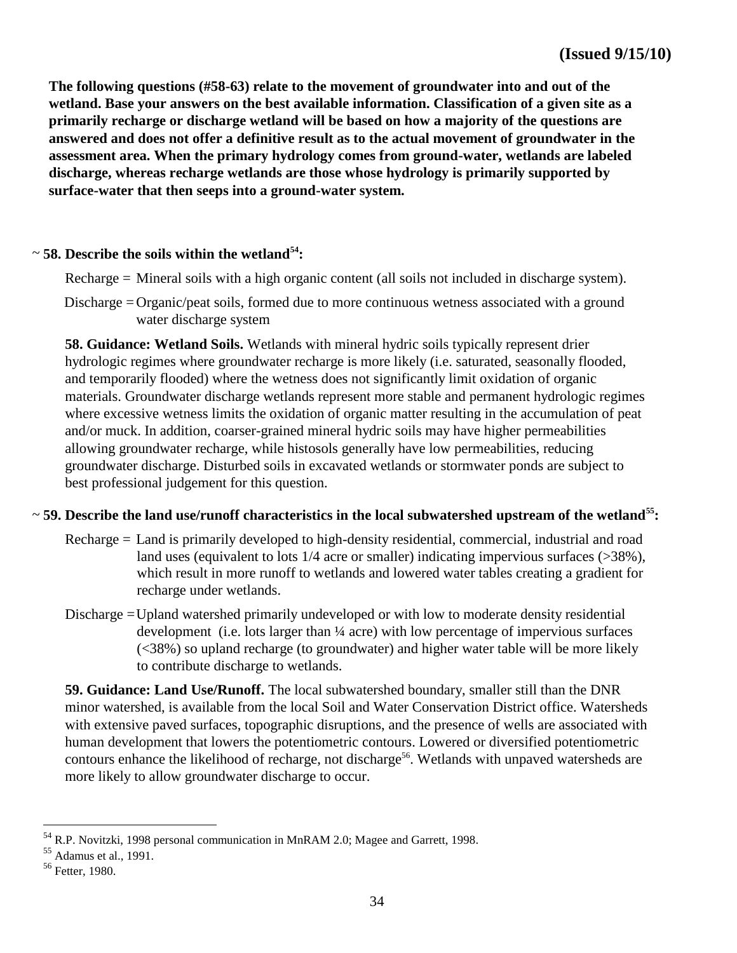**The following questions (#58-63) relate to the movement of groundwater into and out of the wetland. Base your answers on the best available information. Classification of a given site as a primarily recharge or discharge wetland will be based on how a majority of the questions are answered and does not offer a definitive result as to the actual movement of groundwater in the assessment area. When the primary hydrology comes from ground-water, wetlands are labeled discharge, whereas recharge wetlands are those whose hydrology is primarily supported by surface-water that then seeps into a ground-water system.**

# **58. Describe the soils within the wetland<sup>54</sup>:** ~

Recharge = Mineral soils with a high organic content (all soils not included in discharge system).

Discharge =Organic/peat soils, formed due to more continuous wetness associated with a ground water discharge system

**58. Guidance: Wetland Soils.** Wetlands with mineral hydric soils typically represent drier hydrologic regimes where groundwater recharge is more likely (i.e. saturated, seasonally flooded, and temporarily flooded) where the wetness does not significantly limit oxidation of organic materials. Groundwater discharge wetlands represent more stable and permanent hydrologic regimes where excessive wetness limits the oxidation of organic matter resulting in the accumulation of peat and/or muck. In addition, coarser-grained mineral hydric soils may have higher permeabilities allowing groundwater recharge, while histosols generally have low permeabilities, reducing groundwater discharge. Disturbed soils in excavated wetlands or stormwater ponds are subject to best professional judgement for this question.

#### **59. Describe the land use/runoff characteristics in the local subwatershed upstream of the wetland<sup>55</sup>:** ~

- Recharge = Land is primarily developed to high-density residential, commercial, industrial and road land uses (equivalent to lots 1/4 acre or smaller) indicating impervious surfaces (>38%), which result in more runoff to wetlands and lowered water tables creating a gradient for recharge under wetlands.
- Discharge =Upland watershed primarily undeveloped or with low to moderate density residential development (i.e. lots larger than  $\frac{1}{4}$  acre) with low percentage of impervious surfaces (<38%) so upland recharge (to groundwater) and higher water table will be more likely to contribute discharge to wetlands.

**59. Guidance: Land Use/Runoff.** The local subwatershed boundary, smaller still than the DNR minor watershed, is available from the local Soil and Water Conservation District office. Watersheds with extensive paved surfaces, topographic disruptions, and the presence of wells are associated with human development that lowers the potentiometric contours. Lowered or diversified potentiometric contours enhance the likelihood of recharge, not discharge<sup>56</sup>. Wetlands with unpaved watersheds are more likely to allow groundwater discharge to occur.

<sup>54</sup> R.P. Novitzki, 1998 personal communication in MnRAM 2.0; Magee and Garrett, 1998.

<sup>55</sup> Adamus et al., 1991.

<sup>56</sup> Fetter, 1980.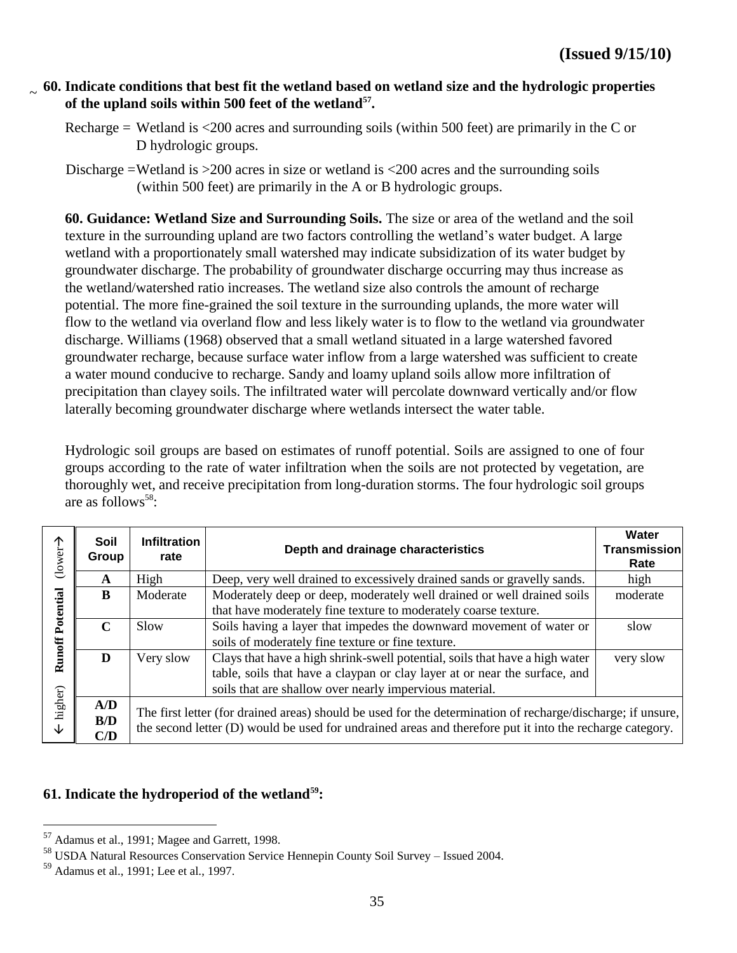#### **60. Indicate conditions that best fit the wetland based on wetland size and the hydrologic properties of the upland soils within 500 feet of the wetland<sup>57</sup> .** ~

- Recharge = Wetland is  $\langle 200 \text{ acres}$  and surrounding soils (within 500 feet) are primarily in the C or D hydrologic groups.
- Discharge =Wetland is >200 acres in size or wetland is <200 acres and the surrounding soils (within 500 feet) are primarily in the A or B hydrologic groups.

**60. Guidance: Wetland Size and Surrounding Soils.** The size or area of the wetland and the soil texture in the surrounding upland are two factors controlling the wetland's water budget. A large wetland with a proportionately small watershed may indicate subsidization of its water budget by groundwater discharge. The probability of groundwater discharge occurring may thus increase as the wetland/watershed ratio increases. The wetland size also controls the amount of recharge potential. The more fine-grained the soil texture in the surrounding uplands, the more water will flow to the wetland via overland flow and less likely water is to flow to the wetland via groundwater discharge. Williams (1968) observed that a small wetland situated in a large watershed favored groundwater recharge, because surface water inflow from a large watershed was sufficient to create a water mound conducive to recharge. Sandy and loamy upland soils allow more infiltration of precipitation than clayey soils. The infiltrated water will percolate downward vertically and/or flow laterally becoming groundwater discharge where wetlands intersect the water table.

Hydrologic soil groups are based on estimates of runoff potential. Soils are assigned to one of four groups according to the rate of water infiltration when the soils are not protected by vegetation, are thoroughly wet, and receive precipitation from long-duration storms. The four hydrologic soil groups are as follows<sup>58</sup>:

| ↑<br>(lower- | Soil<br>Group     | <b>Infiltration</b><br>rate | Depth and drainage characteristics                                                                                                                                                                                      | Water<br><b>Transmission</b><br>Rate |
|--------------|-------------------|-----------------------------|-------------------------------------------------------------------------------------------------------------------------------------------------------------------------------------------------------------------------|--------------------------------------|
|              | $\mathbf A$       | High                        | Deep, very well drained to excessively drained sands or gravelly sands.                                                                                                                                                 | high                                 |
| Potential    | B                 | Moderate                    | Moderately deep or deep, moderately well drained or well drained soils<br>that have moderately fine texture to moderately coarse texture.                                                                               | moderate                             |
|              | $\mathbf C$       | Slow                        | Soils having a layer that impedes the downward movement of water or<br>soils of moderately fine texture or fine texture.                                                                                                | slow                                 |
| Runoff       | D                 | Very slow                   | Clays that have a high shrink-swell potential, soils that have a high water<br>table, soils that have a claypan or clay layer at or near the surface, and<br>soils that are shallow over nearly impervious material.    | very slow                            |
| higher)<br>↓ | A/D<br>B/D<br>C/D |                             | The first letter (for drained areas) should be used for the determination of recharge/discharge; if unsure,<br>the second letter (D) would be used for undrained areas and therefore put it into the recharge category. |                                      |

# **61. Indicate the hydroperiod of the wetland<sup>59</sup>:**

 $57$  Adamus et al., 1991; Magee and Garrett, 1998.

<sup>58</sup> USDA Natural Resources Conservation Service Hennepin County Soil Survey – Issued 2004.

<sup>59</sup> Adamus et al., 1991; Lee et al., 1997.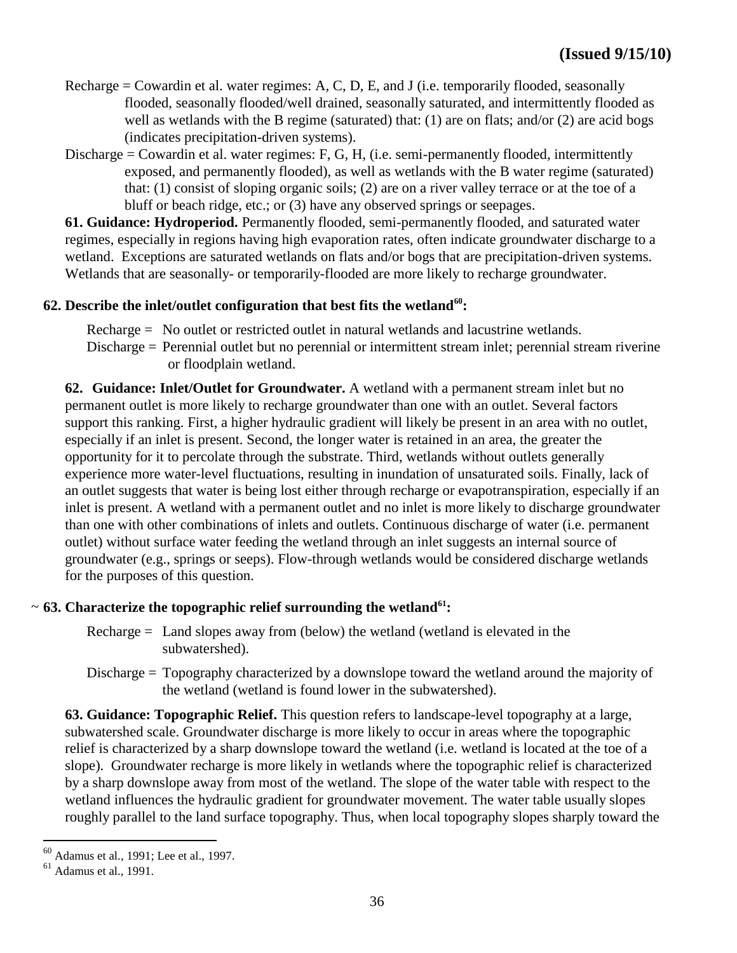- Recharge = Cowardin et al. water regimes: A, C, D, E, and J (i.e. temporarily flooded, seasonally flooded, seasonally flooded/well drained, seasonally saturated, and intermittently flooded as well as wetlands with the B regime (saturated) that: (1) are on flats; and/or (2) are acid bogs (indicates precipitation-driven systems).
- Discharge = Cowardin et al. water regimes: F, G, H, (i.e. semi-permanently flooded, intermittently exposed, and permanently flooded), as well as wetlands with the B water regime (saturated) that: (1) consist of sloping organic soils; (2) are on a river valley terrace or at the toe of a bluff or beach ridge, etc.; or (3) have any observed springs or seepages.

**61. Guidance: Hydroperiod.** Permanently flooded, semi-permanently flooded, and saturated water regimes, especially in regions having high evaporation rates, often indicate groundwater discharge to a wetland. Exceptions are saturated wetlands on flats and/or bogs that are precipitation-driven systems. Wetlands that are seasonally- or temporarily-flooded are more likely to recharge groundwater.

# **62. Describe the inlet/outlet configuration that best fits the wetland<sup>60</sup>:**

- Recharge = No outlet or restricted outlet in natural wetlands and lacustrine wetlands.
- Discharge = Perennial outlet but no perennial or intermittent stream inlet; perennial stream riverine or floodplain wetland.

**62. Guidance: Inlet/Outlet for Groundwater.** A wetland with a permanent stream inlet but no permanent outlet is more likely to recharge groundwater than one with an outlet. Several factors support this ranking. First, a higher hydraulic gradient will likely be present in an area with no outlet, especially if an inlet is present. Second, the longer water is retained in an area, the greater the opportunity for it to percolate through the substrate. Third, wetlands without outlets generally experience more water-level fluctuations, resulting in inundation of unsaturated soils. Finally, lack of an outlet suggests that water is being lost either through recharge or evapotranspiration, especially if an inlet is present. A wetland with a permanent outlet and no inlet is more likely to discharge groundwater than one with other combinations of inlets and outlets. Continuous discharge of water (i.e. permanent outlet) without surface water feeding the wetland through an inlet suggests an internal source of groundwater (e.g., springs or seeps). Flow-through wetlands would be considered discharge wetlands for the purposes of this question.

# **63. Characterize the topographic relief surrounding the wetland<sup>61</sup>:** ~

- Recharge  $=$  Land slopes away from (below) the wetland (wetland is elevated in the subwatershed).
- Discharge = Topography characterized by a downslope toward the wetland around the majority of the wetland (wetland is found lower in the subwatershed).

**63. Guidance: Topographic Relief.** This question refers to landscape-level topography at a large, subwatershed scale. Groundwater discharge is more likely to occur in areas where the topographic relief is characterized by a sharp downslope toward the wetland (i.e. wetland is located at the toe of a slope). Groundwater recharge is more likely in wetlands where the topographic relief is characterized by a sharp downslope away from most of the wetland. The slope of the water table with respect to the wetland influences the hydraulic gradient for groundwater movement. The water table usually slopes roughly parallel to the land surface topography. Thus, when local topography slopes sharply toward the

<sup>60</sup> Adamus et al., 1991; Lee et al., 1997.

 $61$  Adamus et al., 1991.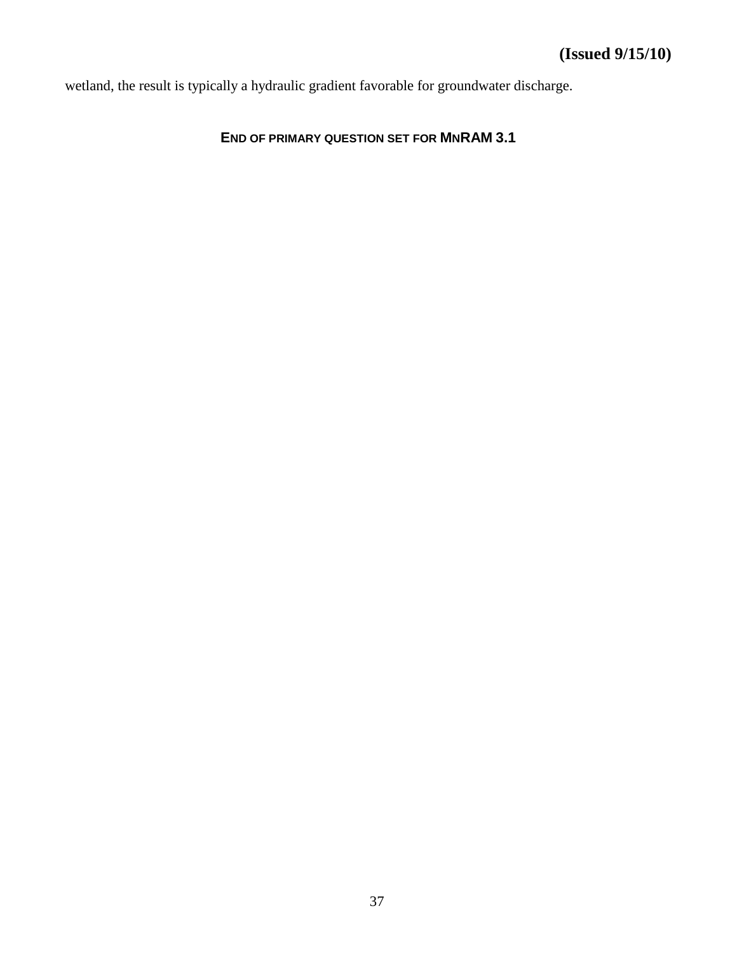wetland, the result is typically a hydraulic gradient favorable for groundwater discharge.

# **END OF PRIMARY QUESTION SET FOR MNRAM 3.1**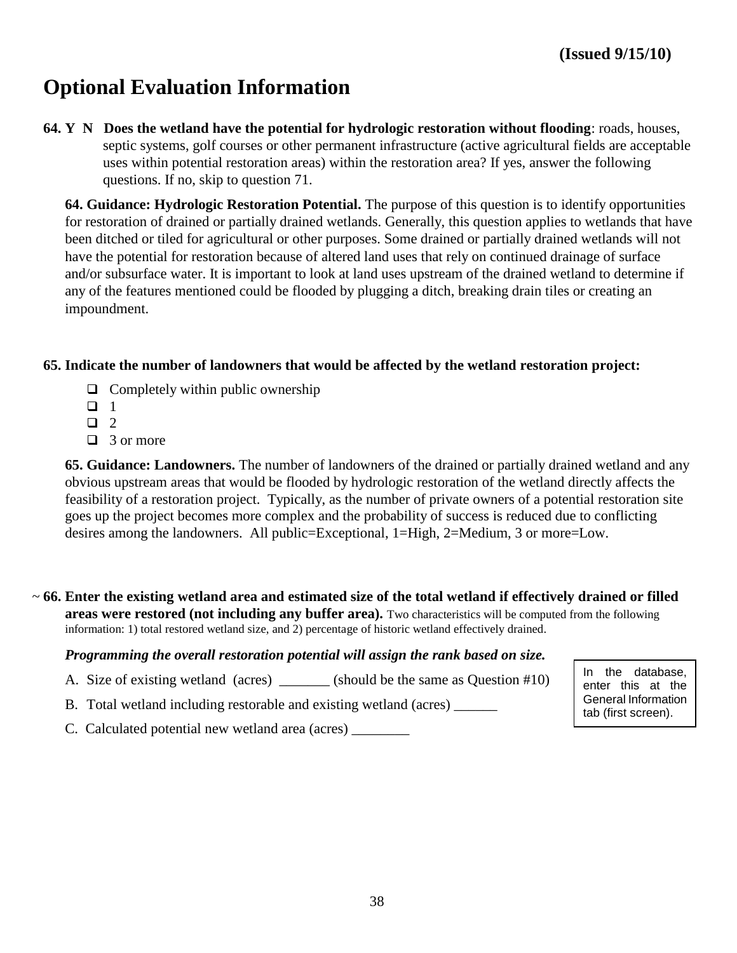# **Optional Evaluation Information**

**64. Y N Does the wetland have the potential for hydrologic restoration without flooding**: roads, houses, septic systems, golf courses or other permanent infrastructure (active agricultural fields are acceptable uses within potential restoration areas) within the restoration area? If yes, answer the following questions. If no, skip to question 71.

**64. Guidance: Hydrologic Restoration Potential.** The purpose of this question is to identify opportunities for restoration of drained or partially drained wetlands. Generally, this question applies to wetlands that have been ditched or tiled for agricultural or other purposes. Some drained or partially drained wetlands will not have the potential for restoration because of altered land uses that rely on continued drainage of surface and/or subsurface water. It is important to look at land uses upstream of the drained wetland to determine if any of the features mentioned could be flooded by plugging a ditch, breaking drain tiles or creating an impoundment.

#### **65. Indicate the number of landowners that would be affected by the wetland restoration project:**

- $\Box$  Completely within public ownership
- $\Box$  1
- $\Box$  2
- $\Box$  3 or more

**65. Guidance: Landowners.** The number of landowners of the drained or partially drained wetland and any obvious upstream areas that would be flooded by hydrologic restoration of the wetland directly affects the feasibility of a restoration project. Typically, as the number of private owners of a potential restoration site goes up the project becomes more complex and the probability of success is reduced due to conflicting desires among the landowners. All public=Exceptional, 1=High, 2=Medium, 3 or more=Low.

**66. Enter the existing wetland area and estimated size of the total wetland if effectively drained or filled**  ~ **areas were restored (not including any buffer area).** Two characteristics will be computed from the following information: 1) total restored wetland size, and 2) percentage of historic wetland effectively drained.

#### *Programming the overall restoration potential will assign the rank based on size.*

A. Size of existing wetland (acres) \_\_\_\_\_\_\_ (should be the same as Question #10)

B. Total wetland including restorable and existing wetland (acres) \_\_\_\_\_\_

C. Calculated potential new wetland area (acres)

In the database, enter this at the General Information tab (first screen).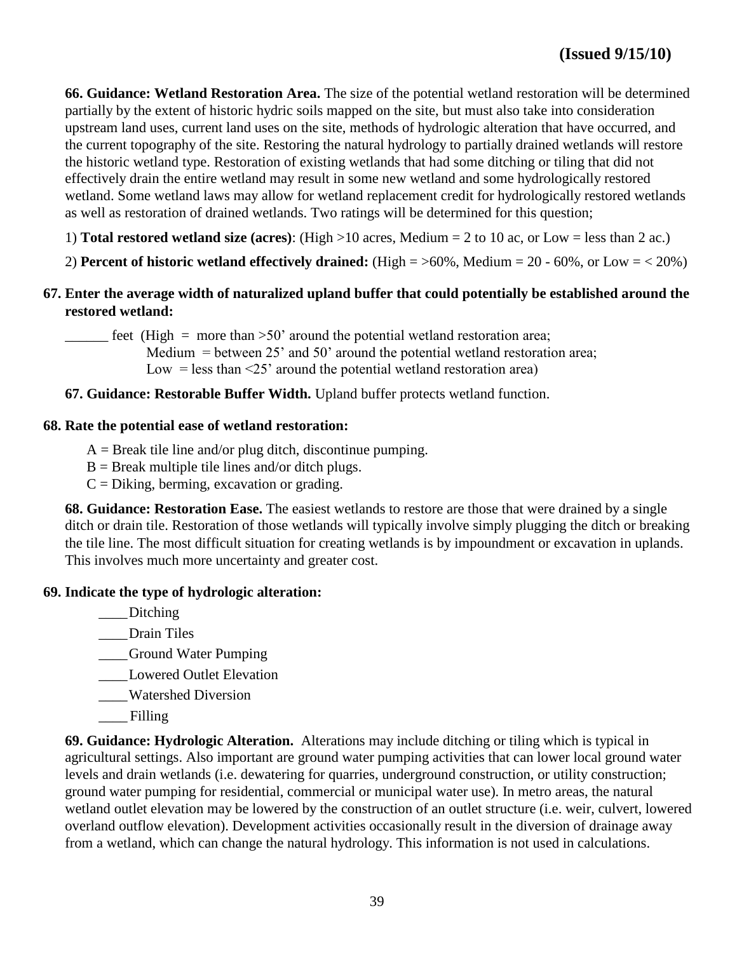**66. Guidance: Wetland Restoration Area.** The size of the potential wetland restoration will be determined partially by the extent of historic hydric soils mapped on the site, but must also take into consideration upstream land uses, current land uses on the site, methods of hydrologic alteration that have occurred, and the current topography of the site. Restoring the natural hydrology to partially drained wetlands will restore the historic wetland type. Restoration of existing wetlands that had some ditching or tiling that did not effectively drain the entire wetland may result in some new wetland and some hydrologically restored wetland. Some wetland laws may allow for wetland replacement credit for hydrologically restored wetlands as well as restoration of drained wetlands. Two ratings will be determined for this question;

- 1) **Total restored wetland size (acres)**: (High >10 acres, Medium = 2 to 10 ac, or Low = less than 2 ac.)
- 2) **Percent of historic wetland effectively drained:** (High = >60%, Medium = 20 60%, or Low = < 20%)
- **67. Enter the average width of naturalized upland buffer that could potentially be established around the restored wetland:**

 $\frac{1}{2}$  feet (High = more than >50' around the potential wetland restoration area; Medium  $=$  between 25 $^{\circ}$  and 50 $^{\circ}$  around the potential wetland restoration area; Low = less than  $\leq$ 25' around the potential wetland restoration area)

**67. Guidance: Restorable Buffer Width.** Upland buffer protects wetland function.

#### **68. Rate the potential ease of wetland restoration:**

- $A =$  Break tile line and/or plug ditch, discontinue pumping.
- $B =$  Break multiple tile lines and/or ditch plugs.
- $C = Diking$ , berming, excavation or grading.

**68. Guidance: Restoration Ease.** The easiest wetlands to restore are those that were drained by a single ditch or drain tile. Restoration of those wetlands will typically involve simply plugging the ditch or breaking the tile line. The most difficult situation for creating wetlands is by impoundment or excavation in uplands. This involves much more uncertainty and greater cost.

#### **69. Indicate the type of hydrologic alteration:**

\_\_\_\_Ditching

\_\_\_\_Drain Tiles

\_\_\_\_Ground Water Pumping

\_\_\_\_Lowered Outlet Elevation

- \_\_\_\_Watershed Diversion
- \_\_\_\_ Filling

**69. Guidance: Hydrologic Alteration.** Alterations may include ditching or tiling which is typical in agricultural settings. Also important are ground water pumping activities that can lower local ground water levels and drain wetlands (i.e. dewatering for quarries, underground construction, or utility construction; ground water pumping for residential, commercial or municipal water use). In metro areas, the natural wetland outlet elevation may be lowered by the construction of an outlet structure (i.e. weir, culvert, lowered overland outflow elevation). Development activities occasionally result in the diversion of drainage away from a wetland, which can change the natural hydrology. This information is not used in calculations.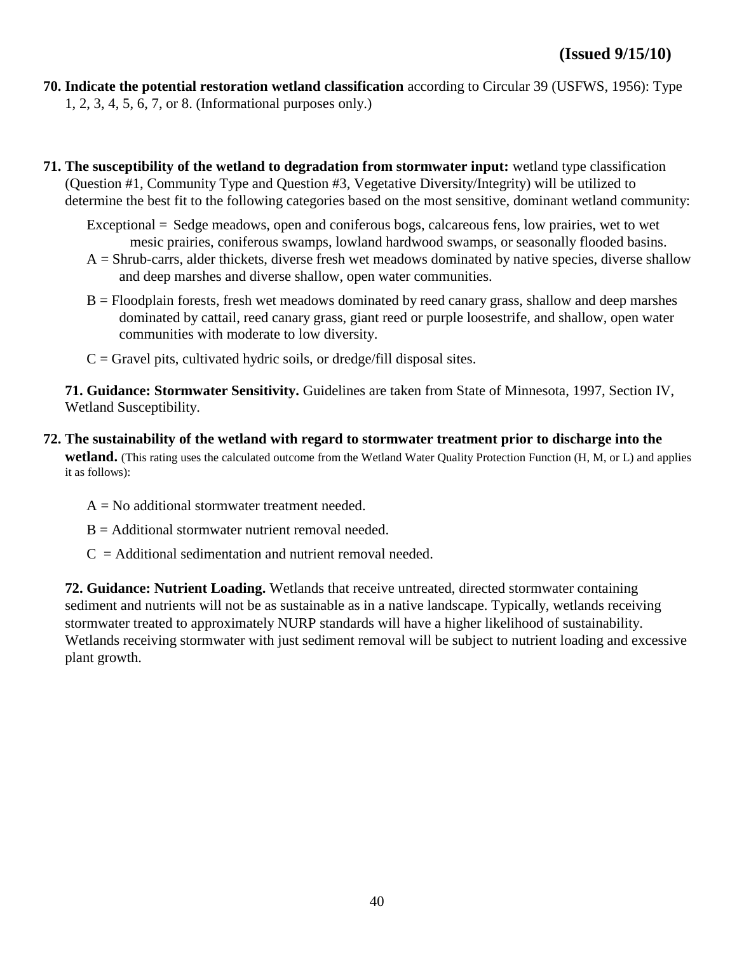**70. Indicate the potential restoration wetland classification** according to Circular 39 (USFWS, 1956): Type 1, 2, 3, 4, 5, 6, 7, or 8. (Informational purposes only.)

- **71. The susceptibility of the wetland to degradation from stormwater input:** wetland type classification (Question #1, Community Type and Question #3, Vegetative Diversity/Integrity) will be utilized to determine the best fit to the following categories based on the most sensitive, dominant wetland community:
	- Exceptional = Sedge meadows, open and coniferous bogs, calcareous fens, low prairies, wet to wet mesic prairies, coniferous swamps, lowland hardwood swamps, or seasonally flooded basins.
	- $A = Shrub-carrs$ , alder thickets, diverse fresh wet meadows dominated by native species, diverse shallow and deep marshes and diverse shallow, open water communities.
	- B = Floodplain forests, fresh wet meadows dominated by reed canary grass, shallow and deep marshes dominated by cattail, reed canary grass, giant reed or purple loosestrife, and shallow, open water communities with moderate to low diversity.
	- $C =$  Gravel pits, cultivated hydric soils, or dredge/fill disposal sites.

**71. Guidance: Stormwater Sensitivity.** Guidelines are taken from State of Minnesota, 1997, Section IV, Wetland Susceptibility.

- **72. The sustainability of the wetland with regard to stormwater treatment prior to discharge into the wetland.** (This rating uses the calculated outcome from the Wetland Water Quality Protection Function (H, M, or L) and applies it as follows):
	- $A = No$  additional stormwater treatment needed.
	- $B =$  Additional stormwater nutrient removal needed.
	- $C =$  Additional sedimentation and nutrient removal needed.

**72. Guidance: Nutrient Loading.** Wetlands that receive untreated, directed stormwater containing sediment and nutrients will not be as sustainable as in a native landscape. Typically, wetlands receiving stormwater treated to approximately NURP standards will have a higher likelihood of sustainability. Wetlands receiving stormwater with just sediment removal will be subject to nutrient loading and excessive plant growth.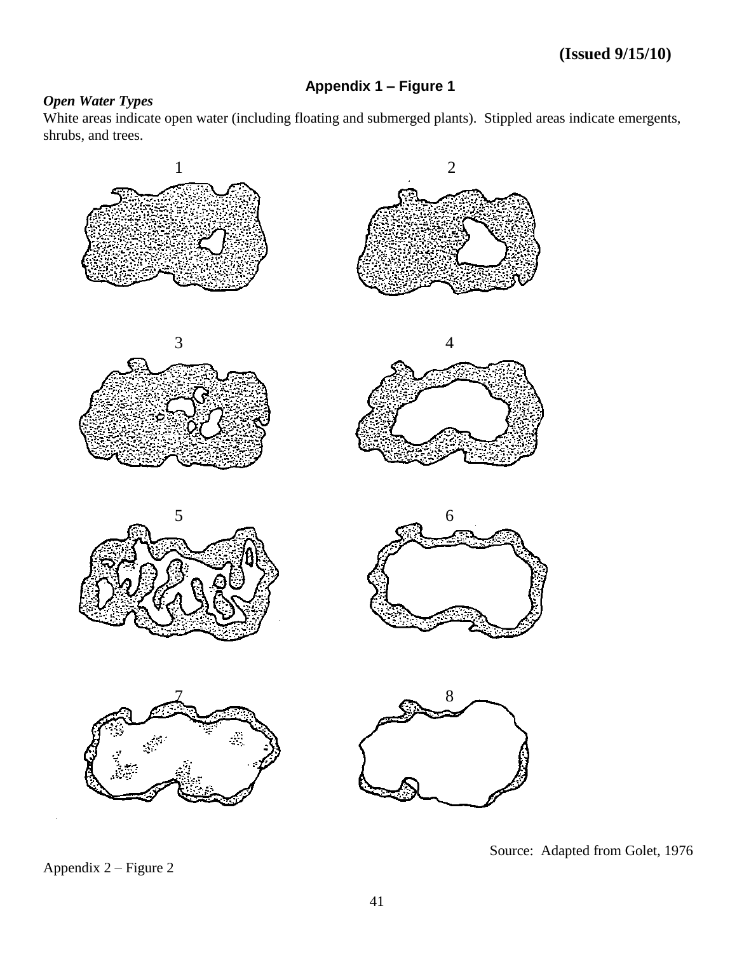# **Appendix 1 – Figure 1**

# *Open Water Types*

White areas indicate open water (including floating and submerged plants). Stippled areas indicate emergents, shrubs, and trees.



Appendix 2 – Figure 2

Source: Adapted from Golet, 1976